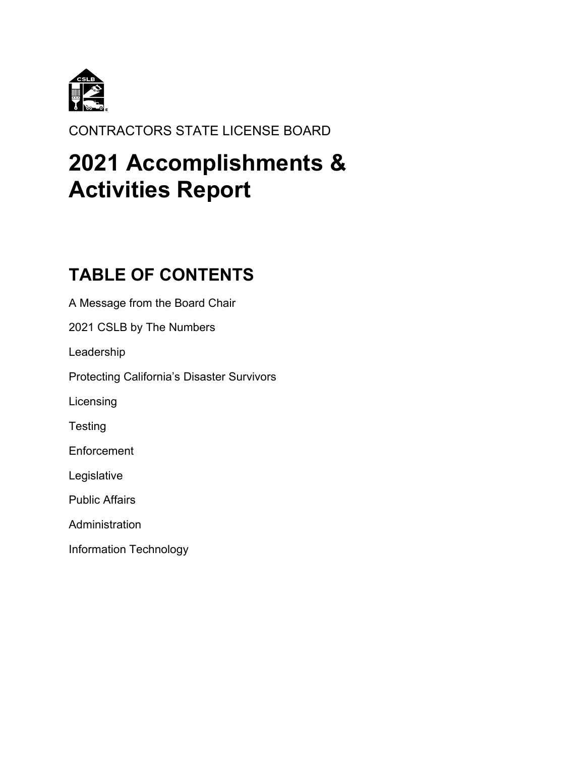

CONTRACTORS STATE LICENSE BOARD

# **2021 Accomplishments & Activities Report**

# **TABLE OF CONTENTS**

A Message from the Board Chair 2021 CSLB by The Numbers Leadership Protecting California's Disaster Survivors Licensing **Testing Enforcement** Legislative Public Affairs **Administration** Information Technology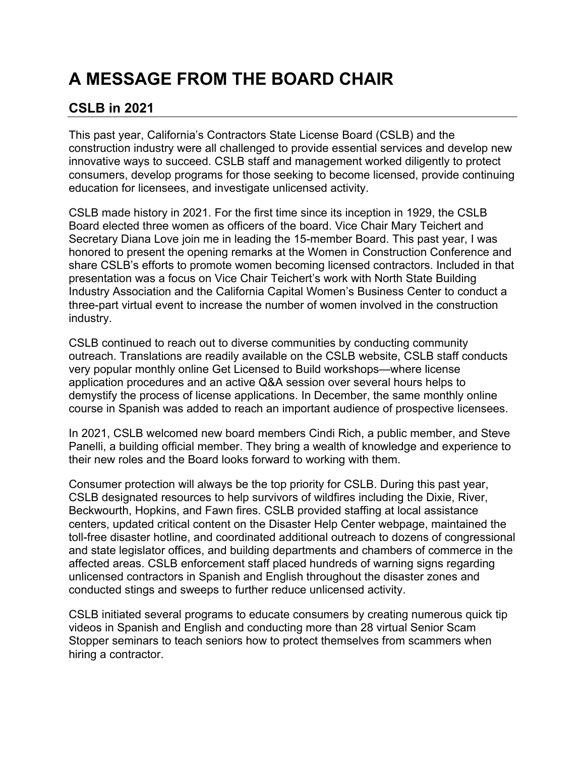# **A MESSAGE FROM THE BOARD CHAIR**

# **CSLB in 2021**

This past year, California's Contractors State License Board (CSLB) and the construction industry were all challenged to provide essential services and develop new innovative ways to succeed. CSLB staff and management worked diligently to protect consumers, develop programs for those seeking to become licensed, provide continuing education for licensees, and investigate unlicensed activity.

CSLB made history in 2021. For the first time since its inception in 1929, the CSLB Board elected three women as officers of the board. Vice Chair Mary Teichert and Secretary Diana Love join me in leading the 15-member Board. This past year, I was honored to present the opening remarks at the Women in Construction Conference and share CSLB's efforts to promote women becoming licensed contractors. Included in that presentation was a focus on Vice Chair Teichert's work with North State Building Industry Association and the California Capital Women's Business Center to conduct a three-part virtual event to increase the number of women involved in the construction industry.

CSLB continued to reach out to diverse communities by conducting community outreach. Translations are readily available on the CSLB website, CSLB staff conducts very popular monthly online Get Licensed to Build workshops—where license application procedures and an active Q&A session over several hours helps to demystify the process of license applications. In December, the same monthly online course in Spanish was added to reach an important audience of prospective licensees.

In 2021, CSLB welcomed new board members Cindi Rich, a public member, and Steve Panelli, a building official member. They bring a wealth of knowledge and experience to their new roles and the Board looks forward to working with them.

Consumer protection will always be the top priority for CSLB. During this past year, CSLB designated resources to help survivors of wildfires including the Dixie, River, Beckwourth, Hopkins, and Fawn fires. CSLB provided staffing at local assistance centers, updated critical content on the Disaster Help Center webpage, maintained the toll-free disaster hotline, and coordinated additional outreach to dozens of congressional and state legislator offices, and building departments and chambers of commerce in the affected areas. CSLB enforcement staff placed hundreds of warning signs regarding unlicensed contractors in Spanish and English throughout the disaster zones and conducted stings and sweeps to further reduce unlicensed activity.

CSLB initiated several programs to educate consumers by creating numerous quick tip videos in Spanish and English and conducting more than 28 virtual Senior Scam Stopper seminars to teach seniors how to protect themselves from scammers when hiring a contractor.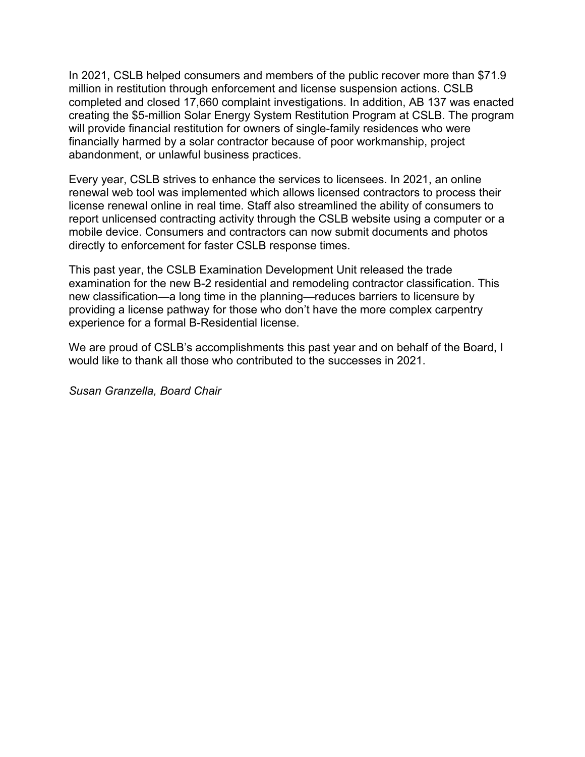In 2021, CSLB helped consumers and members of the public recover more than \$71.9 million in restitution through enforcement and license suspension actions. CSLB completed and closed 17,660 complaint investigations. In addition, AB 137 was enacted creating the \$5-million Solar Energy System Restitution Program at CSLB. The program will provide financial restitution for owners of single-family residences who were financially harmed by a solar contractor because of poor workmanship, project abandonment, or unlawful business practices.

Every year, CSLB strives to enhance the services to licensees. In 2021, an online renewal web tool was implemented which allows licensed contractors to process their license renewal online in real time. Staff also streamlined the ability of consumers to report unlicensed contracting activity through the CSLB website using a computer or a mobile device. Consumers and contractors can now submit documents and photos directly to enforcement for faster CSLB response times.

This past year, the CSLB Examination Development Unit released the trade examination for the new B-2 residential and remodeling contractor classification. This new classification—a long time in the planning—reduces barriers to licensure by providing a license pathway for those who don't have the more complex carpentry experience for a formal B-Residential license.

We are proud of CSLB's accomplishments this past year and on behalf of the Board, I would like to thank all those who contributed to the successes in 2021.

*Susan Granzella, Board Chair*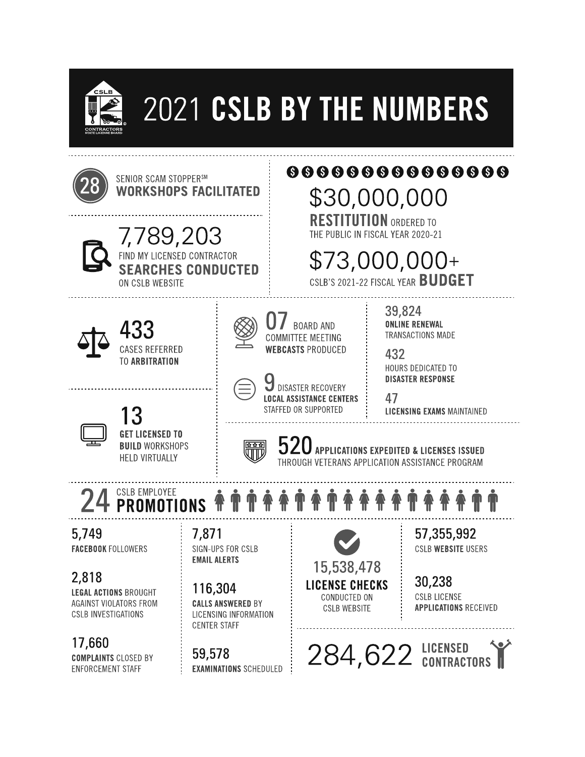

# 2021 CSLB BY THE NUMBERS

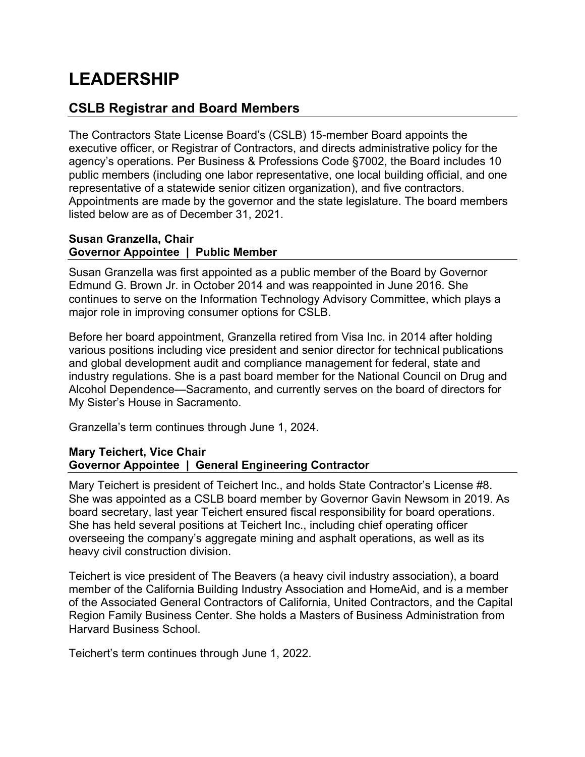# **LEADERSHIP**

### **CSLB Registrar and Board Members**

The Contractors State License Board's (CSLB) 15-member Board appoints the executive officer, or Registrar of Contractors, and directs administrative policy for the agency's operations. Per Business & Professions Code §7002, the Board includes 10 public members (including one labor representative, one local building official, and one representative of a statewide senior citizen organization), and five contractors. Appointments are made by the governor and the state legislature. The board members listed below are as of December 31, 2021.

#### **Susan Granzella, Chair Governor Appointee | Public Member**

Susan Granzella was first appointed as a public member of the Board by Governor Edmund G. Brown Jr. in October 2014 and was reappointed in June 2016. She continues to serve on the Information Technology Advisory Committee, which plays a major role in improving consumer options for CSLB.

Before her board appointment, Granzella retired from Visa Inc. in 2014 after holding various positions including vice president and senior director for technical publications and global development audit and compliance management for federal, state and industry regulations. She is a past board member for the National Council on Drug and Alcohol Dependence—Sacramento, and currently serves on the board of directors for My Sister's House in Sacramento.

Granzella's term continues through June 1, 2024.

#### **Mary Teichert, Vice Chair Governor Appointee | General Engineering Contractor**

Mary Teichert is president of Teichert Inc., and holds State Contractor's License #8. She was appointed as a CSLB board member by Governor Gavin Newsom in 2019. As board secretary, last year Teichert ensured fiscal responsibility for board operations. She has held several positions at Teichert Inc., including chief operating officer overseeing the company's aggregate mining and asphalt operations, as well as its heavy civil construction division.

Teichert is vice president of The Beavers (a heavy civil industry association), a board member of the California Building Industry Association and HomeAid, and is a member of the Associated General Contractors of California, United Contractors, and the Capital Region Family Business Center. She holds a Masters of Business Administration from Harvard Business School.

Teichert's term continues through June 1, 2022.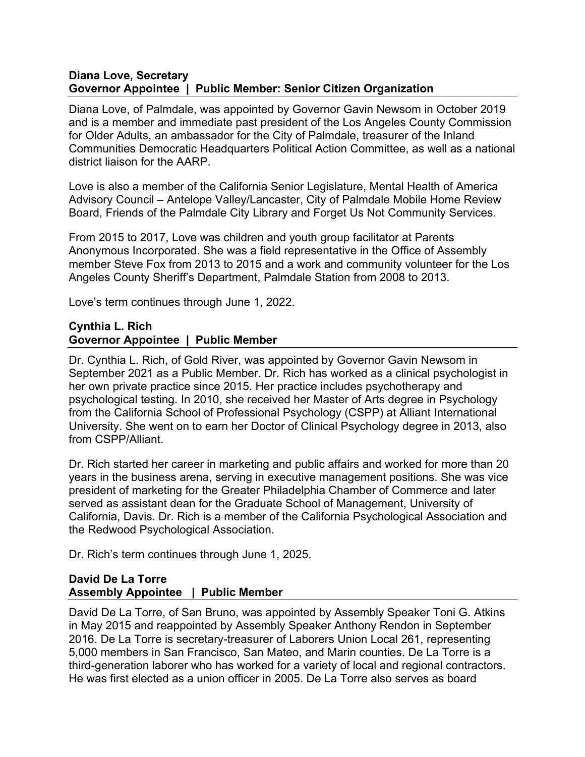#### **Diana Love, Secretary Governor Appointee | Public Member: Senior Citizen Organization**

Diana Love, of Palmdale, was appointed by Governor Gavin Newsom in October 2019 and is a member and immediate past president of the Los Angeles County Commission for Older Adults, an ambassador for the City of Palmdale, treasurer of the Inland Communities Democratic Headquarters Political Action Committee, as well as a national district liaison for the AARP.

Love is also a member of the California Senior Legislature, Mental Health of America Advisory Council – Antelope Valley/Lancaster, City of Palmdale Mobile Home Review Board, Friends of the Palmdale City Library and Forget Us Not Community Services.

From 2015 to 2017, Love was children and youth group facilitator at Parents Anonymous Incorporated. She was a field representative in the Office of Assembly member Steve Fox from 2013 to 2015 and a work and community volunteer for the Los Angeles County Sheriff's Department, Palmdale Station from 2008 to 2013.

Love's term continues through June 1, 2022.

#### **Cynthia L. Rich Governor Appointee | Public Member**

Dr. Cynthia L. Rich, of Gold River, was appointed by Governor Gavin Newsom in September 2021 as a Public Member. Dr. Rich has worked as a clinical psychologist in her own private practice since 2015. Her practice includes psychotherapy and psychological testing. In 2010, she received her Master of Arts degree in Psychology from the California School of Professional Psychology (CSPP) at Alliant International University. She went on to earn her Doctor of Clinical Psychology degree in 2013, also from CSPP/Alliant.

Dr. Rich started her career in marketing and public affairs and worked for more than 20 years in the business arena, serving in executive management positions. She was vice president of marketing for the Greater Philadelphia Chamber of Commerce and later served as assistant dean for the Graduate School of Management, University of California, Davis. Dr. Rich is a member of the California Psychological Association and the Redwood Psychological Association.

Dr. Rich's term continues through June 1, 2025.

#### **David De La Torre Assembly Appointee | Public Member**

David De La Torre, of San Bruno, was appointed by Assembly Speaker Toni G. Atkins in May 2015 and reappointed by Assembly Speaker Anthony Rendon in September 2016. De La Torre is secretary-treasurer of Laborers Union Local 261, representing 5,000 members in San Francisco, San Mateo, and Marin counties. De La Torre is a third-generation laborer who has worked for a variety of local and regional contractors. He was first elected as a union officer in 2005. De La Torre also serves as board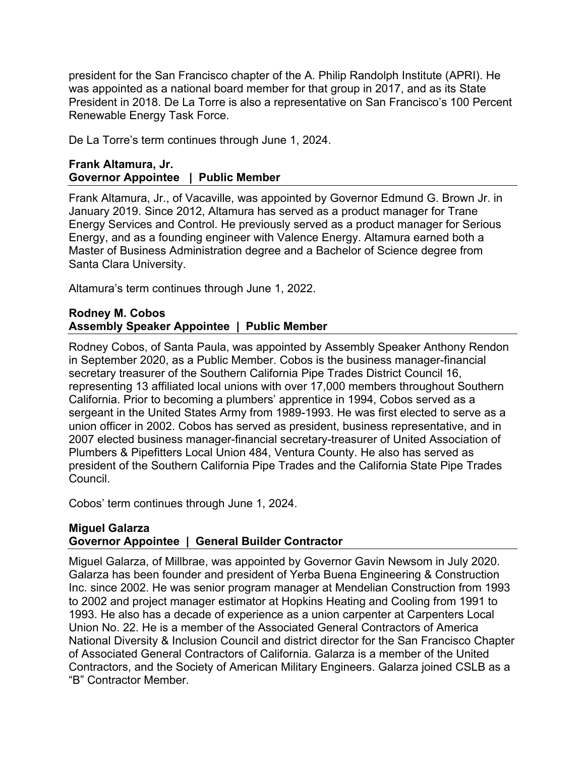president for the San Francisco chapter of the A. Philip Randolph Institute (APRI). He was appointed as a national board member for that group in 2017, and as its State President in 2018. De La Torre is also a representative on San Francisco's 100 Percent Renewable Energy Task Force.

De La Torre's term continues through June 1, 2024.

#### **Frank Altamura, Jr. Governor Appointee | Public Member**

Frank Altamura, Jr., of Vacaville, was appointed by Governor Edmund G. Brown Jr. in January 2019. Since 2012, Altamura has served as a product manager for Trane Energy Services and Control. He previously served as a product manager for Serious Energy, and as a founding engineer with Valence Energy. Altamura earned both a Master of Business Administration degree and a Bachelor of Science degree from Santa Clara University.

Altamura's term continues through June 1, 2022.

#### **Rodney M. Cobos Assembly Speaker Appointee | Public Member**

Rodney Cobos, of Santa Paula, was appointed by Assembly Speaker Anthony Rendon in September 2020, as a Public Member. Cobos is the business manager-financial secretary treasurer of the Southern California Pipe Trades District Council 16, representing 13 affiliated local unions with over 17,000 members throughout Southern California. Prior to becoming a plumbers' apprentice in 1994, Cobos served as a sergeant in the United States Army from 1989-1993. He was first elected to serve as a union officer in 2002. Cobos has served as president, business representative, and in 2007 elected business manager-financial secretary-treasurer of United Association of Plumbers & Pipefitters Local Union 484, Ventura County. He also has served as president of the Southern California Pipe Trades and the California State Pipe Trades Council.

Cobos' term continues through June 1, 2024.

#### **Miguel Galarza Governor Appointee | General Builder Contractor**

Miguel Galarza, of Millbrae, was appointed by Governor Gavin Newsom in July 2020. Galarza has been founder and president of Yerba Buena Engineering & Construction Inc. since 2002. He was senior program manager at Mendelian Construction from 1993 to 2002 and project manager estimator at Hopkins Heating and Cooling from 1991 to 1993. He also has a decade of experience as a union carpenter at Carpenters Local Union No. 22. He is a member of the Associated General Contractors of America National Diversity & Inclusion Council and district director for the San Francisco Chapter of Associated General Contractors of California. Galarza is a member of the United Contractors, and the Society of American Military Engineers. Galarza joined CSLB as a "B" Contractor Member.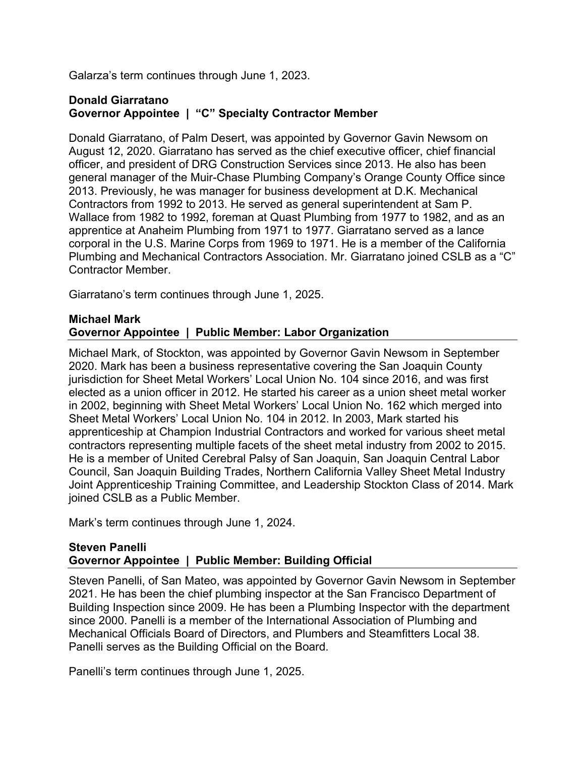Galarza's term continues through June 1, 2023.

#### **Donald Giarratano Governor Appointee | "C" Specialty Contractor Member**

Donald Giarratano, of Palm Desert, was appointed by Governor Gavin Newsom on August 12, 2020. Giarratano has served as the chief executive officer, chief financial officer, and president of DRG Construction Services since 2013. He also has been general manager of the Muir-Chase Plumbing Company's Orange County Office since 2013. Previously, he was manager for business development at D.K. Mechanical Contractors from 1992 to 2013. He served as general superintendent at Sam P. Wallace from 1982 to 1992, foreman at Quast Plumbing from 1977 to 1982, and as an apprentice at Anaheim Plumbing from 1971 to 1977. Giarratano served as a lance corporal in the U.S. Marine Corps from 1969 to 1971. He is a member of the California Plumbing and Mechanical Contractors Association. Mr. Giarratano joined CSLB as a "C" Contractor Member.

Giarratano's term continues through June 1, 2025.

#### **Michael Mark Governor Appointee | Public Member: Labor Organization**

Michael Mark, of Stockton, was appointed by Governor Gavin Newsom in September 2020. Mark has been a business representative covering the San Joaquin County jurisdiction for Sheet Metal Workers' Local Union No. 104 since 2016, and was first elected as a union officer in 2012. He started his career as a union sheet metal worker in 2002, beginning with Sheet Metal Workers' Local Union No. 162 which merged into Sheet Metal Workers' Local Union No. 104 in 2012. In 2003, Mark started his apprenticeship at Champion Industrial Contractors and worked for various sheet metal contractors representing multiple facets of the sheet metal industry from 2002 to 2015. He is a member of United Cerebral Palsy of San Joaquin, San Joaquin Central Labor Council, San Joaquin Building Trades, Northern California Valley Sheet Metal Industry Joint Apprenticeship Training Committee, and Leadership Stockton Class of 2014. Mark joined CSLB as a Public Member.

Mark's term continues through June 1, 2024.

#### **Steven Panelli Governor Appointee | Public Member: Building Official**

Steven Panelli, of San Mateo, was appointed by Governor Gavin Newsom in September 2021. He has been the chief plumbing inspector at the San Francisco Department of Building Inspection since 2009. He has been a Plumbing Inspector with the department since 2000. Panelli is a member of the International Association of Plumbing and Mechanical Officials Board of Directors, and Plumbers and Steamfitters Local 38. Panelli serves as the Building Official on the Board.

Panelli's term continues through June 1, 2025.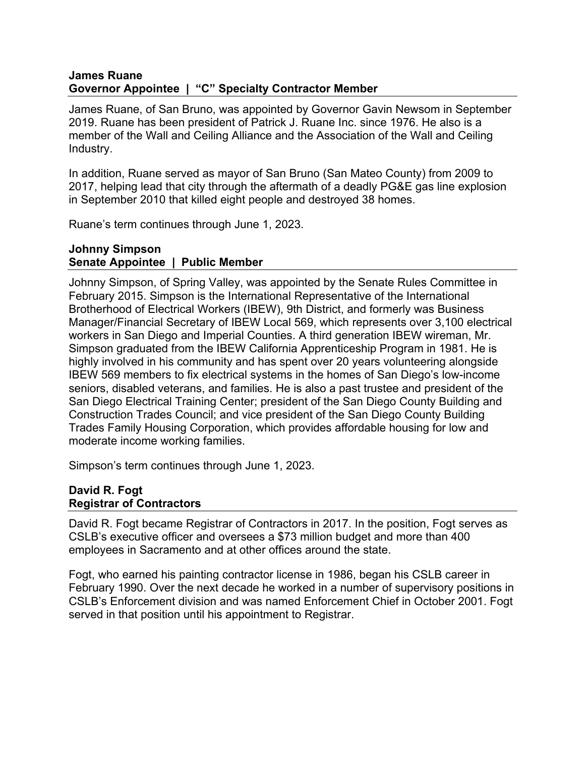#### **James Ruane Governor Appointee | "C" Specialty Contractor Member**

James Ruane, of San Bruno, was appointed by Governor Gavin Newsom in September 2019. Ruane has been president of Patrick J. Ruane Inc. since 1976. He also is a member of the Wall and Ceiling Alliance and the Association of the Wall and Ceiling Industry.

In addition, Ruane served as mayor of San Bruno (San Mateo County) from 2009 to 2017, helping lead that city through the aftermath of a deadly PG&E gas line explosion in September 2010 that killed eight people and destroyed 38 homes.

Ruane's term continues through June 1, 2023.

#### **Johnny Simpson Senate Appointee | Public Member**

Johnny Simpson, of Spring Valley, was appointed by the Senate Rules Committee in February 2015. Simpson is the International Representative of the International Brotherhood of Electrical Workers (IBEW), 9th District, and formerly was Business Manager/Financial Secretary of IBEW Local 569, which represents over 3,100 electrical workers in San Diego and Imperial Counties. A third generation IBEW wireman, Mr. Simpson graduated from the IBEW California Apprenticeship Program in 1981. He is highly involved in his community and has spent over 20 years volunteering alongside IBEW 569 members to fix electrical systems in the homes of San Diego's low-income seniors, disabled veterans, and families. He is also a past trustee and president of the San Diego Electrical Training Center; president of the San Diego County Building and Construction Trades Council; and vice president of the San Diego County Building Trades Family Housing Corporation, which provides affordable housing for low and moderate income working families.

Simpson's term continues through June 1, 2023.

#### **David R. Fogt Registrar of Contractors**

David R. Fogt became Registrar of Contractors in 2017. In the position, Fogt serves as CSLB's executive officer and oversees a \$73 million budget and more than 400 employees in Sacramento and at other offices around the state.

Fogt, who earned his painting contractor license in 1986, began his CSLB career in February 1990. Over the next decade he worked in a number of supervisory positions in CSLB's Enforcement division and was named Enforcement Chief in October 2001. Fogt served in that position until his appointment to Registrar.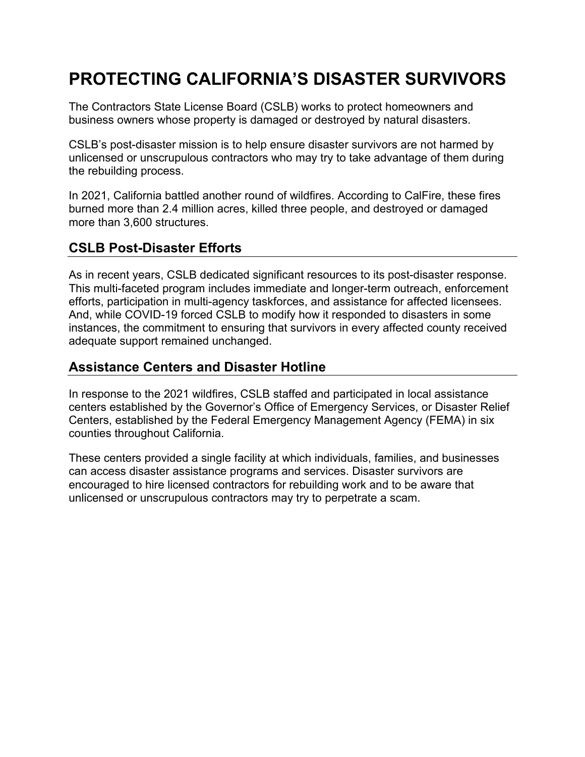# **PROTECTING CALIFORNIA'S DISASTER SURVIVORS**

The Contractors State License Board (CSLB) works to protect homeowners and business owners whose property is damaged or destroyed by natural disasters.

CSLB's post-disaster mission is to help ensure disaster survivors are not harmed by unlicensed or unscrupulous contractors who may try to take advantage of them during the rebuilding process.

In 2021, California battled another round of wildfires. According to CalFire, these fires burned more than 2.4 million acres, killed three people, and destroyed or damaged more than 3,600 structures.

# **CSLB Post-Disaster Efforts**

As in recent years, CSLB dedicated significant resources to its post-disaster response. This multi-faceted program includes immediate and longer-term outreach, enforcement efforts, participation in multi-agency taskforces, and assistance for affected licensees. And, while COVID-19 forced CSLB to modify how it responded to disasters in some instances, the commitment to ensuring that survivors in every affected county received adequate support remained unchanged.

# **Assistance Centers and Disaster Hotline**

In response to the 2021 wildfires, CSLB staffed and participated in local assistance centers established by the Governor's Office of Emergency Services, or Disaster Relief Centers, established by the Federal Emergency Management Agency (FEMA) in six counties throughout California.

These centers provided a single facility at which individuals, families, and businesses can access disaster assistance programs and services. Disaster survivors are encouraged to hire licensed contractors for rebuilding work and to be aware that unlicensed or unscrupulous contractors may try to perpetrate a scam.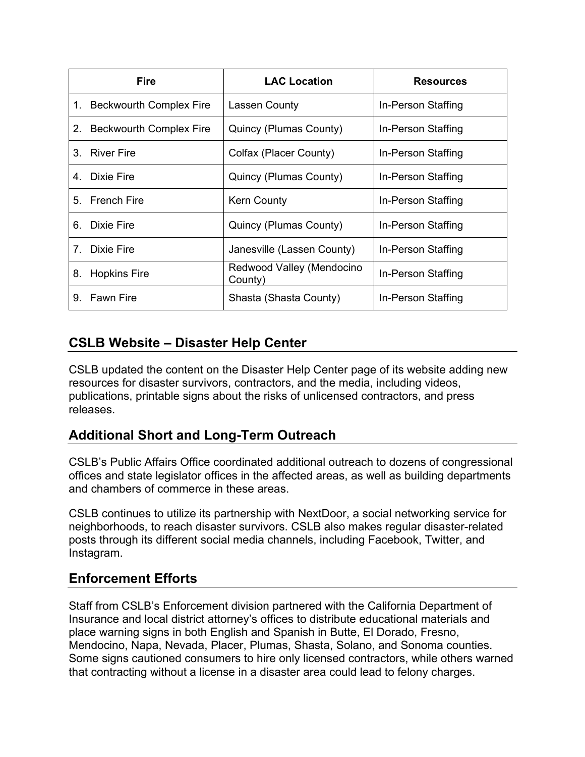|                                | <b>Fire</b>                | <b>LAC Location</b>                  | <b>Resources</b>   |
|--------------------------------|----------------------------|--------------------------------------|--------------------|
|                                | 1. Beckwourth Complex Fire | Lassen County                        | In-Person Staffing |
|                                | 2. Beckwourth Complex Fire | Quincy (Plumas County)               | In-Person Staffing |
|                                | 3. River Fire              | Colfax (Placer County)               | In-Person Staffing |
|                                | 4. Dixie Fire              | Quincy (Plumas County)               | In-Person Staffing |
|                                | 5. French Fire             | <b>Kern County</b>                   | In-Person Staffing |
|                                | 6. Dixie Fire              | Quincy (Plumas County)               | In-Person Staffing |
| $7_{\scriptscriptstyle{\sim}}$ | Dixie Fire                 | Janesville (Lassen County)           | In-Person Staffing |
| 8.                             | <b>Hopkins Fire</b>        | Redwood Valley (Mendocino<br>County) | In-Person Staffing |
| 9.                             | <b>Fawn Fire</b>           | Shasta (Shasta County)               | In-Person Staffing |

# **CSLB Website – Disaster Help Center**

CSLB updated the content on the Disaster Help Center page of its website adding new resources for disaster survivors, contractors, and the media, including videos, publications, printable signs about the risks of unlicensed contractors, and press releases.

# **Additional Short and Long-Term Outreach**

CSLB's Public Affairs Office coordinated additional outreach to dozens of congressional offices and state legislator offices in the affected areas, as well as building departments and chambers of commerce in these areas.

CSLB continues to utilize its partnership with NextDoor, a social networking service for neighborhoods, to reach disaster survivors. CSLB also makes regular disaster-related posts through its different social media channels, including Facebook, Twitter, and Instagram.

### **Enforcement Efforts**

Staff from CSLB's Enforcement division partnered with the California Department of Insurance and local district attorney's offices to distribute educational materials and place warning signs in both English and Spanish in Butte, El Dorado, Fresno, Mendocino, Napa, Nevada, Placer, Plumas, Shasta, Solano, and Sonoma counties. Some signs cautioned consumers to hire only licensed contractors, while others warned that contracting without a license in a disaster area could lead to felony charges.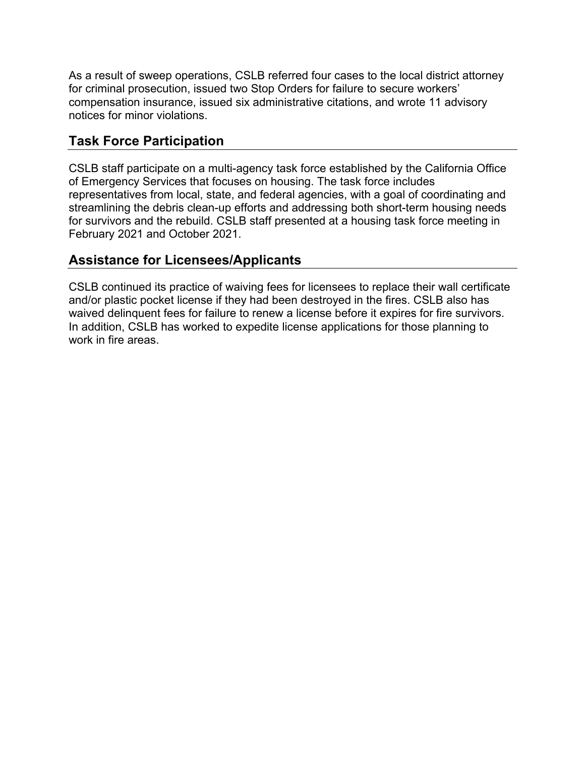As a result of sweep operations, CSLB referred four cases to the local district attorney for criminal prosecution, issued two Stop Orders for failure to secure workers' compensation insurance, issued six administrative citations, and wrote 11 advisory notices for minor violations.

# **Task Force Participation**

CSLB staff participate on a multi-agency task force established by the California Office of Emergency Services that focuses on housing. The task force includes representatives from local, state, and federal agencies, with a goal of coordinating and streamlining the debris clean-up efforts and addressing both short-term housing needs for survivors and the rebuild. CSLB staff presented at a housing task force meeting in February 2021 and October 2021.

# **Assistance for Licensees/Applicants**

CSLB continued its practice of waiving fees for licensees to replace their wall certificate and/or plastic pocket license if they had been destroyed in the fires. CSLB also has waived delinquent fees for failure to renew a license before it expires for fire survivors. In addition, CSLB has worked to expedite license applications for those planning to work in fire areas.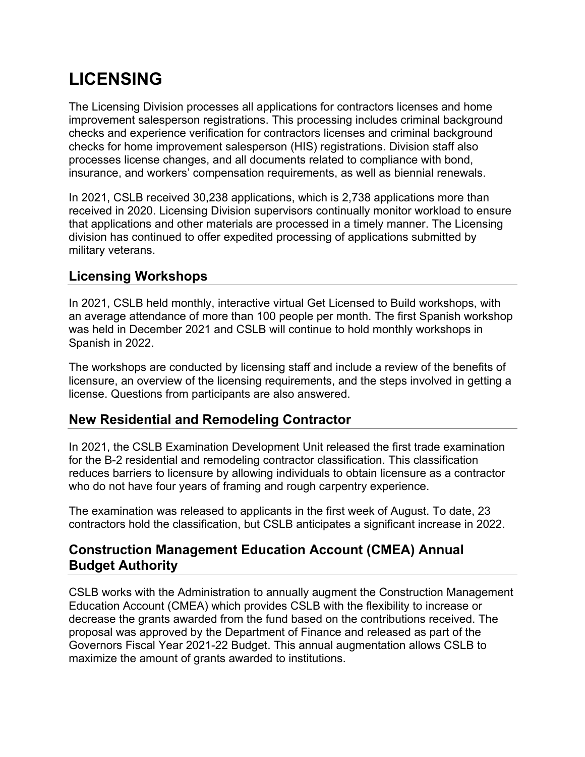# **LICENSING**

The Licensing Division processes all applications for contractors licenses and home improvement salesperson registrations. This processing includes criminal background checks and experience verification for contractors licenses and criminal background checks for home improvement salesperson (HIS) registrations. Division staff also processes license changes, and all documents related to compliance with bond, insurance, and workers' compensation requirements, as well as biennial renewals.

In 2021, CSLB received 30,238 applications, which is 2,738 applications more than received in 2020. Licensing Division supervisors continually monitor workload to ensure that applications and other materials are processed in a timely manner. The Licensing division has continued to offer expedited processing of applications submitted by military veterans.

# **Licensing Workshops**

In 2021, CSLB held monthly, interactive virtual Get Licensed to Build workshops, with an average attendance of more than 100 people per month. The first Spanish workshop was held in December 2021 and CSLB will continue to hold monthly workshops in Spanish in 2022.

The workshops are conducted by licensing staff and include a review of the benefits of licensure, an overview of the licensing requirements, and the steps involved in getting a license. Questions from participants are also answered.

# **New Residential and Remodeling Contractor**

In 2021, the CSLB Examination Development Unit released the first trade examination for the B-2 residential and remodeling contractor classification. This classification reduces barriers to licensure by allowing individuals to obtain licensure as a contractor who do not have four years of framing and rough carpentry experience.

The examination was released to applicants in the first week of August. To date, 23 contractors hold the classification, but CSLB anticipates a significant increase in 2022.

# **Construction Management Education Account (CMEA) Annual Budget Authority**

CSLB works with the Administration to annually augment the Construction Management Education Account (CMEA) which provides CSLB with the flexibility to increase or decrease the grants awarded from the fund based on the contributions received. The proposal was approved by the Department of Finance and released as part of the Governors Fiscal Year 2021-22 Budget. This annual augmentation allows CSLB to maximize the amount of grants awarded to institutions.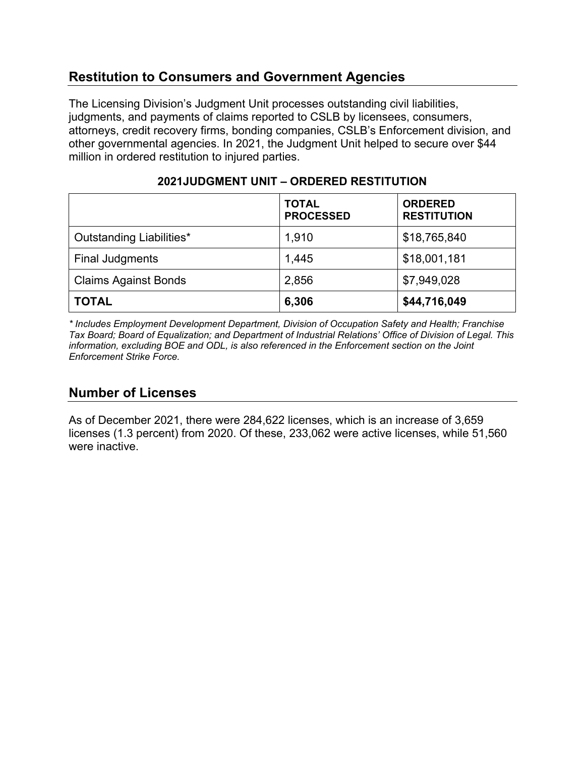# **Restitution to Consumers and Government Agencies**

The Licensing Division's Judgment Unit processes outstanding civil liabilities, judgments, and payments of claims reported to CSLB by licensees, consumers, attorneys, credit recovery firms, bonding companies, CSLB's Enforcement division, and other governmental agencies. In 2021, the Judgment Unit helped to secure over \$44 million in ordered restitution to injured parties.

|                             | <b>TOTAL</b><br><b>PROCESSED</b> | <b>ORDERED</b><br><b>RESTITUTION</b> |
|-----------------------------|----------------------------------|--------------------------------------|
| Outstanding Liabilities*    | 1,910                            | \$18,765,840                         |
| <b>Final Judgments</b>      | 1,445                            | \$18,001,181                         |
| <b>Claims Against Bonds</b> | 2,856                            | \$7,949,028                          |
| <b>TOTAL</b>                | 6,306                            | \$44,716,049                         |

#### **2021JUDGMENT UNIT – ORDERED RESTITUTION**

*\* Includes Employment Development Department, Division of Occupation Safety and Health; Franchise Tax Board; Board of Equalization; and Department of Industrial Relations' Office of Division of Legal. This information, excluding BOE and ODL, is also referenced in the Enforcement section on the Joint Enforcement Strike Force.*

# **Number of Licenses**

As of December 2021, there were 284,622 licenses, which is an increase of 3,659 licenses (1.3 percent) from 2020. Of these, 233,062 were active licenses, while 51,560 were inactive.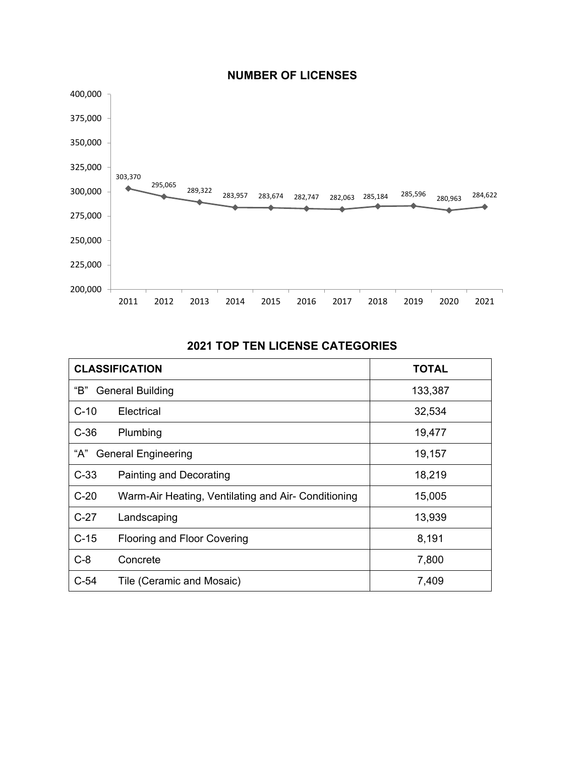

#### **NUMBER OF LICENSES**

#### **2021 TOP TEN LICENSE CATEGORIES**

| <b>CLASSIFICATION</b>                                         |                           | <b>TOTAL</b> |
|---------------------------------------------------------------|---------------------------|--------------|
| "В"<br><b>General Building</b>                                |                           | 133,387      |
| $C-10$                                                        | Electrical                | 32,534       |
| $C-36$                                                        | Plumbing                  | 19,477       |
| "А"<br><b>General Engineering</b>                             |                           | 19,157       |
| $C-33$                                                        | Painting and Decorating   | 18,219       |
| $C-20$<br>Warm-Air Heating, Ventilating and Air- Conditioning |                           | 15,005       |
| $C-27$<br>Landscaping                                         |                           | 13,939       |
| $C-15$<br><b>Flooring and Floor Covering</b>                  |                           | 8,191        |
| $C-8$                                                         | Concrete                  | 7,800        |
| $C-54$                                                        | Tile (Ceramic and Mosaic) | 7,409        |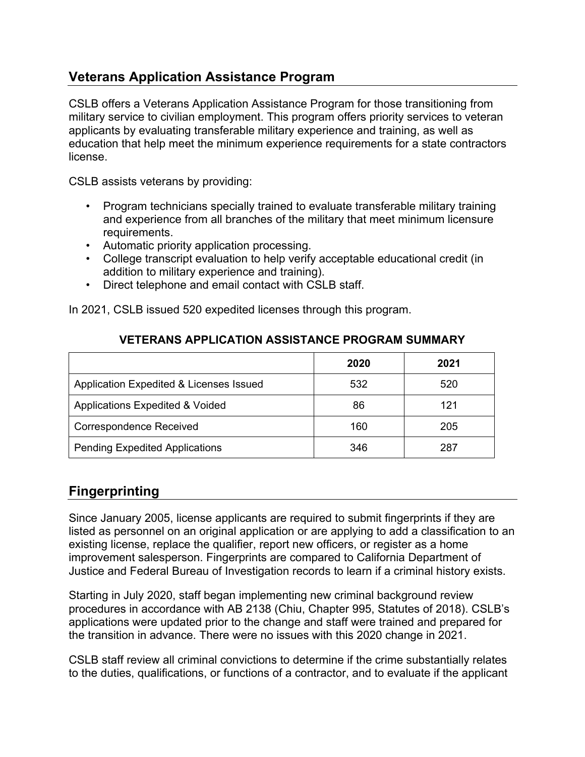# **Veterans Application Assistance Program**

CSLB offers a Veterans Application Assistance Program for those transitioning from military service to civilian employment. This program offers priority services to veteran applicants by evaluating transferable military experience and training, as well as education that help meet the minimum experience requirements for a state contractors license.

CSLB assists veterans by providing:

- Program technicians specially trained to evaluate transferable military training and experience from all branches of the military that meet minimum licensure requirements.
- Automatic priority application processing.
- College transcript evaluation to help verify acceptable educational credit (in addition to military experience and training).
- Direct telephone and email contact with CSLB staff.

In 2021, CSLB issued 520 expedited licenses through this program.

|                                            | 2020 | 2021 |
|--------------------------------------------|------|------|
| Application Expedited & Licenses Issued    | 532  | 520  |
| <b>Applications Expedited &amp; Voided</b> | 86   | 121  |
| <b>Correspondence Received</b>             | 160  | 205  |
| <b>Pending Expedited Applications</b>      | 346  | 287  |

#### **VETERANS APPLICATION ASSISTANCE PROGRAM SUMMARY**

# **Fingerprinting**

Since January 2005, license applicants are required to submit fingerprints if they are listed as personnel on an original application or are applying to add a classification to an existing license, replace the qualifier, report new officers, or register as a home improvement salesperson. Fingerprints are compared to California Department of Justice and Federal Bureau of Investigation records to learn if a criminal history exists.

Starting in July 2020, staff began implementing new criminal background review procedures in accordance with AB 2138 (Chiu, Chapter 995, Statutes of 2018). CSLB's applications were updated prior to the change and staff were trained and prepared for the transition in advance. There were no issues with this 2020 change in 2021.

CSLB staff review all criminal convictions to determine if the crime substantially relates to the duties, qualifications, or functions of a contractor, and to evaluate if the applicant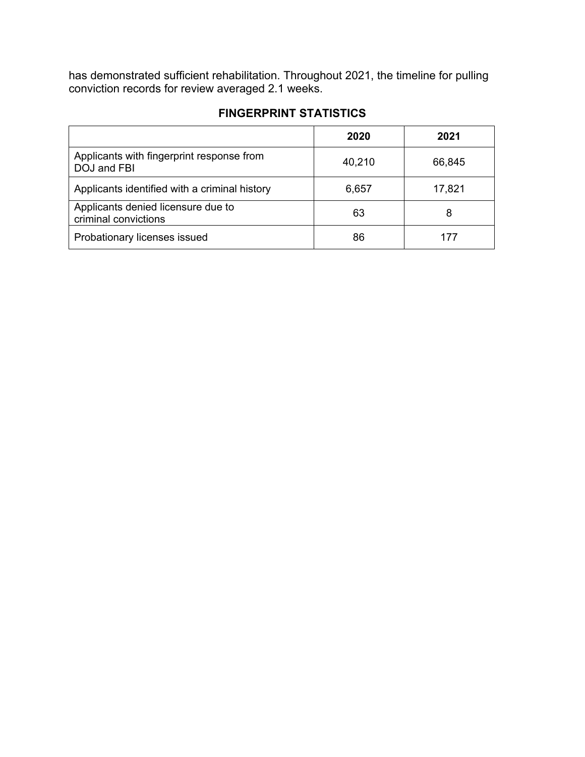has demonstrated sufficient rehabilitation. Throughout 2021, the timeline for pulling conviction records for review averaged 2.1 weeks.

|                                                            | 2020   | 2021   |
|------------------------------------------------------------|--------|--------|
| Applicants with fingerprint response from<br>DOJ and FBI   | 40,210 | 66,845 |
| Applicants identified with a criminal history              | 6,657  | 17,821 |
| Applicants denied licensure due to<br>criminal convictions | 63     | 8      |
| Probationary licenses issued                               | 86     | 177    |

### **FINGERPRINT STATISTICS**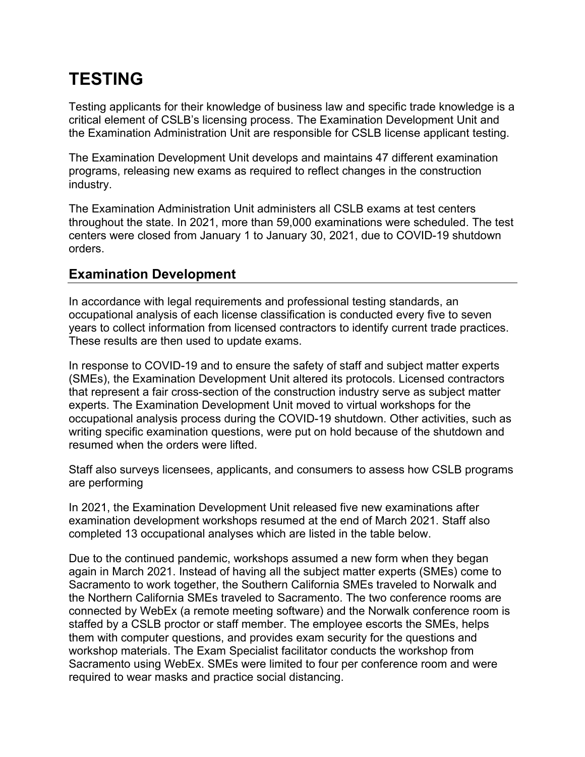# **TESTING**

Testing applicants for their knowledge of business law and specific trade knowledge is a critical element of CSLB's licensing process. The Examination Development Unit and the Examination Administration Unit are responsible for CSLB license applicant testing.

The Examination Development Unit develops and maintains 47 different examination programs, releasing new exams as required to reflect changes in the construction industry.

The Examination Administration Unit administers all CSLB exams at test centers throughout the state. In 2021, more than 59,000 examinations were scheduled. The test centers were closed from January 1 to January 30, 2021, due to COVID-19 shutdown orders.

### **Examination Development**

In accordance with legal requirements and professional testing standards, an occupational analysis of each license classification is conducted every five to seven years to collect information from licensed contractors to identify current trade practices. These results are then used to update exams.

In response to COVID-19 and to ensure the safety of staff and subject matter experts (SMEs), the Examination Development Unit altered its protocols. Licensed contractors that represent a fair cross-section of the construction industry serve as subject matter experts. The Examination Development Unit moved to virtual workshops for the occupational analysis process during the COVID-19 shutdown. Other activities, such as writing specific examination questions, were put on hold because of the shutdown and resumed when the orders were lifted.

Staff also surveys licensees, applicants, and consumers to assess how CSLB programs are performing

In 2021, the Examination Development Unit released five new examinations after examination development workshops resumed at the end of March 2021. Staff also completed 13 occupational analyses which are listed in the table below.

Due to the continued pandemic, workshops assumed a new form when they began again in March 2021. Instead of having all the subject matter experts (SMEs) come to Sacramento to work together, the Southern California SMEs traveled to Norwalk and the Northern California SMEs traveled to Sacramento. The two conference rooms are connected by WebEx (a remote meeting software) and the Norwalk conference room is staffed by a CSLB proctor or staff member. The employee escorts the SMEs, helps them with computer questions, and provides exam security for the questions and workshop materials. The Exam Specialist facilitator conducts the workshop from Sacramento using WebEx. SMEs were limited to four per conference room and were required to wear masks and practice social distancing.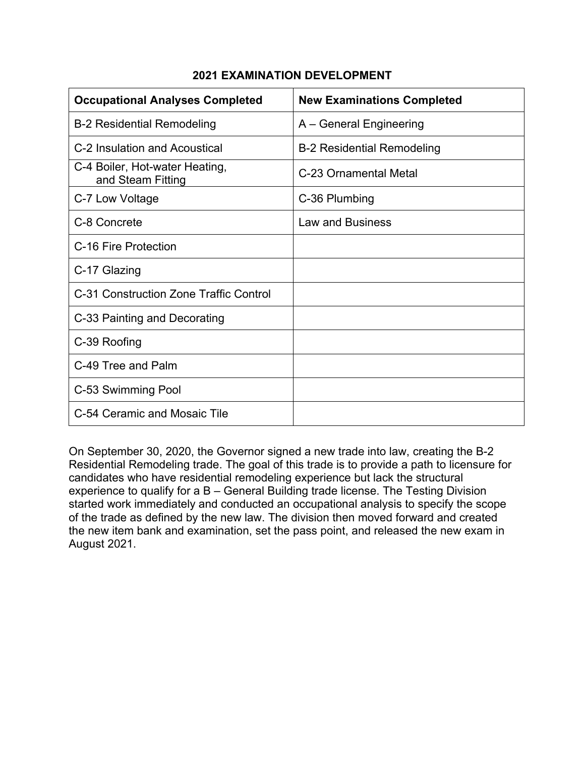| <b>Occupational Analyses Completed</b>              | <b>New Examinations Completed</b> |
|-----------------------------------------------------|-----------------------------------|
| <b>B-2 Residential Remodeling</b>                   | A – General Engineering           |
| C-2 Insulation and Acoustical                       | <b>B-2 Residential Remodeling</b> |
| C-4 Boiler, Hot-water Heating,<br>and Steam Fitting | C-23 Ornamental Metal             |
| C-7 Low Voltage                                     | C-36 Plumbing                     |
| C-8 Concrete                                        | <b>Law and Business</b>           |
| C-16 Fire Protection                                |                                   |
| C-17 Glazing                                        |                                   |
| C-31 Construction Zone Traffic Control              |                                   |
| C-33 Painting and Decorating                        |                                   |
| C-39 Roofing                                        |                                   |
| C-49 Tree and Palm                                  |                                   |
| C-53 Swimming Pool                                  |                                   |
| C-54 Ceramic and Mosaic Tile                        |                                   |

#### **2021 EXAMINATION DEVELOPMENT**

On September 30, 2020, the Governor signed a new trade into law, creating the B-2 Residential Remodeling trade. The goal of this trade is to provide a path to licensure for candidates who have residential remodeling experience but lack the structural experience to qualify for a B – General Building trade license. The Testing Division started work immediately and conducted an occupational analysis to specify the scope of the trade as defined by the new law. The division then moved forward and created the new item bank and examination, set the pass point, and released the new exam in August 2021.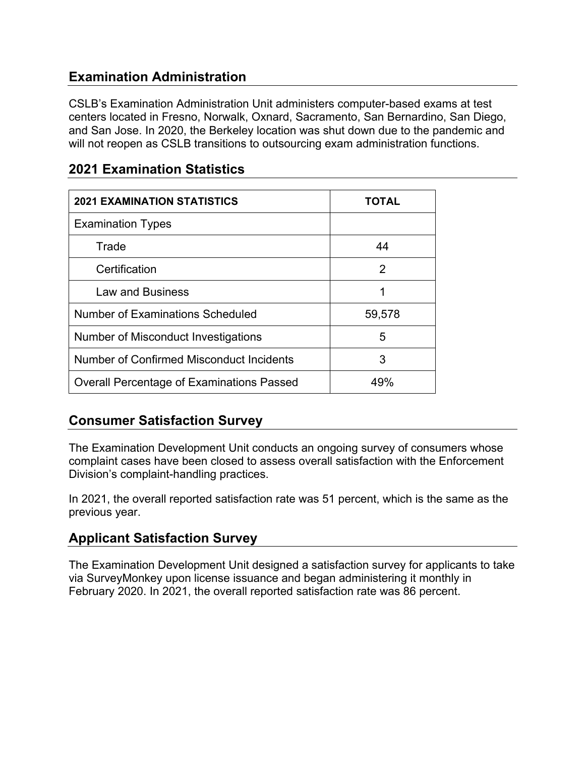# **Examination Administration**

CSLB's Examination Administration Unit administers computer-based exams at test centers located in Fresno, Norwalk, Oxnard, Sacramento, San Bernardino, San Diego, and San Jose. In 2020, the Berkeley location was shut down due to the pandemic and will not reopen as CSLB transitions to outsourcing exam administration functions.

| <b>2021 EXAMINATION STATISTICS</b>               | TOTAL  |
|--------------------------------------------------|--------|
| <b>Examination Types</b>                         |        |
| Trade                                            | 44     |
| Certification                                    | 2      |
| <b>Law and Business</b>                          | 1      |
| <b>Number of Examinations Scheduled</b>          | 59,578 |
| Number of Misconduct Investigations              | 5      |
| Number of Confirmed Misconduct Incidents         | 3      |
| <b>Overall Percentage of Examinations Passed</b> | 49%    |

### **2021 Examination Statistics**

# **Consumer Satisfaction Survey**

The Examination Development Unit conducts an ongoing survey of consumers whose complaint cases have been closed to assess overall satisfaction with the Enforcement Division's complaint-handling practices.

In 2021, the overall reported satisfaction rate was 51 percent, which is the same as the previous year.

# **Applicant Satisfaction Survey**

The Examination Development Unit designed a satisfaction survey for applicants to take via SurveyMonkey upon license issuance and began administering it monthly in February 2020. In 2021, the overall reported satisfaction rate was 86 percent.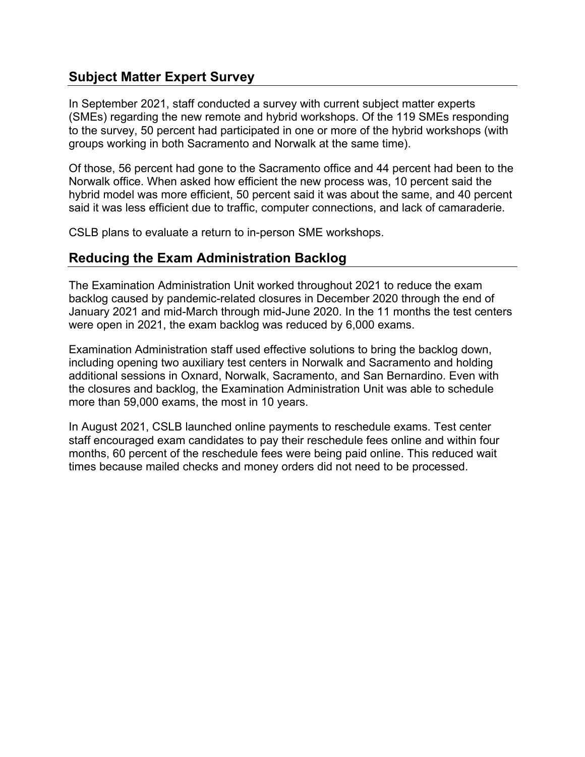# **Subject Matter Expert Survey**

In September 2021, staff conducted a survey with current subject matter experts (SMEs) regarding the new remote and hybrid workshops. Of the 119 SMEs responding to the survey, 50 percent had participated in one or more of the hybrid workshops (with groups working in both Sacramento and Norwalk at the same time).

Of those, 56 percent had gone to the Sacramento office and 44 percent had been to the Norwalk office. When asked how efficient the new process was, 10 percent said the hybrid model was more efficient, 50 percent said it was about the same, and 40 percent said it was less efficient due to traffic, computer connections, and lack of camaraderie.

CSLB plans to evaluate a return to in-person SME workshops.

### **Reducing the Exam Administration Backlog**

The Examination Administration Unit worked throughout 2021 to reduce the exam backlog caused by pandemic-related closures in December 2020 through the end of January 2021 and mid-March through mid-June 2020. In the 11 months the test centers were open in 2021, the exam backlog was reduced by 6,000 exams.

Examination Administration staff used effective solutions to bring the backlog down, including opening two auxiliary test centers in Norwalk and Sacramento and holding additional sessions in Oxnard, Norwalk, Sacramento, and San Bernardino. Even with the closures and backlog, the Examination Administration Unit was able to schedule more than 59,000 exams, the most in 10 years.

In August 2021, CSLB launched online payments to reschedule exams. Test center staff encouraged exam candidates to pay their reschedule fees online and within four months, 60 percent of the reschedule fees were being paid online. This reduced wait times because mailed checks and money orders did not need to be processed.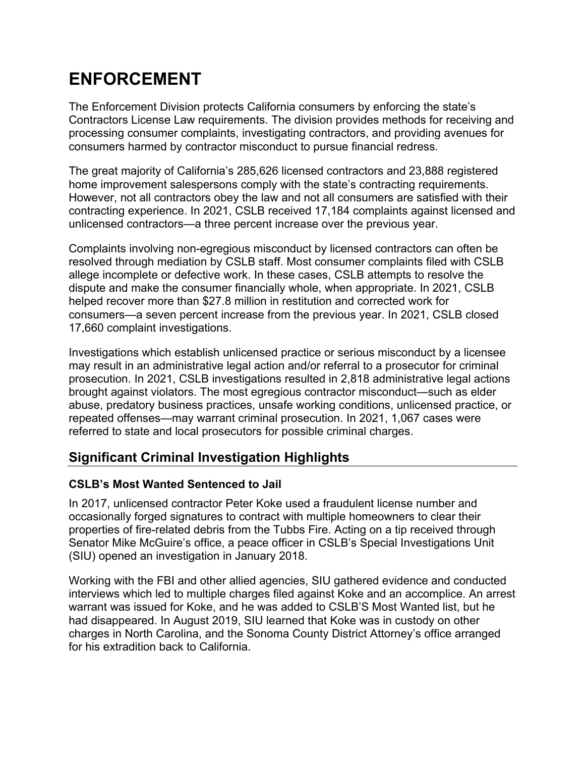# **ENFORCEMENT**

The Enforcement Division protects California consumers by enforcing the state's Contractors License Law requirements. The division provides methods for receiving and processing consumer complaints, investigating contractors, and providing avenues for consumers harmed by contractor misconduct to pursue financial redress.

The great majority of California's 285,626 licensed contractors and 23,888 registered home improvement salespersons comply with the state's contracting requirements. However, not all contractors obey the law and not all consumers are satisfied with their contracting experience. In 2021, CSLB received 17,184 complaints against licensed and unlicensed contractors—a three percent increase over the previous year.

Complaints involving non-egregious misconduct by licensed contractors can often be resolved through mediation by CSLB staff. Most consumer complaints filed with CSLB allege incomplete or defective work. In these cases, CSLB attempts to resolve the dispute and make the consumer financially whole, when appropriate. In 2021, CSLB helped recover more than \$27.8 million in restitution and corrected work for consumers—a seven percent increase from the previous year. In 2021, CSLB closed 17,660 complaint investigations.

Investigations which establish unlicensed practice or serious misconduct by a licensee may result in an administrative legal action and/or referral to a prosecutor for criminal prosecution. In 2021, CSLB investigations resulted in 2,818 administrative legal actions brought against violators. The most egregious contractor misconduct—such as elder abuse, predatory business practices, unsafe working conditions, unlicensed practice, or repeated offenses—may warrant criminal prosecution. In 2021, 1,067 cases were referred to state and local prosecutors for possible criminal charges.

# **Significant Criminal Investigation Highlights**

### **CSLB's Most Wanted Sentenced to Jail**

In 2017, unlicensed contractor Peter Koke used a fraudulent license number and occasionally forged signatures to contract with multiple homeowners to clear their properties of fire-related debris from the Tubbs Fire. Acting on a tip received through Senator Mike McGuire's office, a peace officer in CSLB's Special Investigations Unit (SIU) opened an investigation in January 2018.

Working with the FBI and other allied agencies, SIU gathered evidence and conducted interviews which led to multiple charges filed against Koke and an accomplice. An arrest warrant was issued for Koke, and he was added to CSLB'S Most Wanted list, but he had disappeared. In August 2019, SIU learned that Koke was in custody on other charges in North Carolina, and the Sonoma County District Attorney's office arranged for his extradition back to California.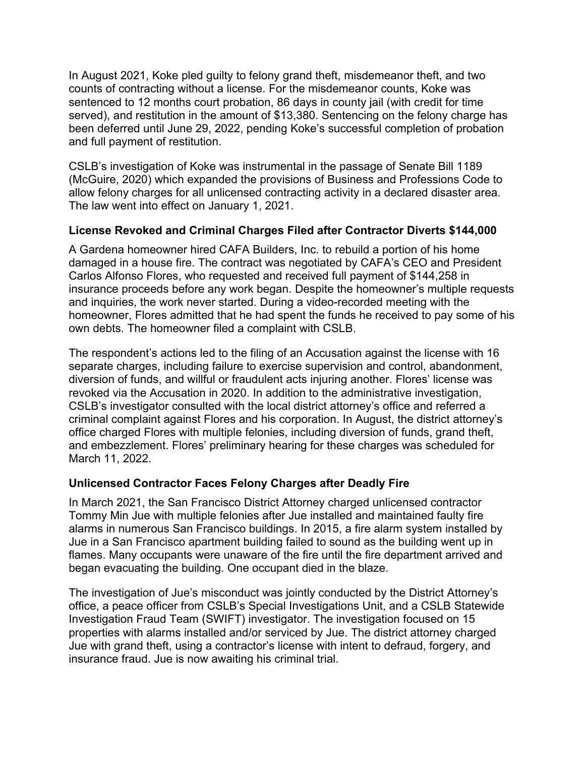In August 2021, Koke pled guilty to felony grand theft, misdemeanor theft, and two counts of contracting without a license. For the misdemeanor counts, Koke was sentenced to 12 months court probation, 86 days in county jail (with credit for time served), and restitution in the amount of \$13,380. Sentencing on the felony charge has been deferred until June 29, 2022, pending Koke's successful completion of probation and full payment of restitution.

CSLB's investigation of Koke was instrumental in the passage of Senate Bill 1189 (McGuire, 2020) which expanded the provisions of Business and Professions Code to allow felony charges for all unlicensed contracting activity in a declared disaster area. The law went into effect on January 1, 2021.

#### **License Revoked and Criminal Charges Filed after Contractor Diverts \$144,000**

A Gardena homeowner hired CAFA Builders, Inc. to rebuild a portion of his home damaged in a house fire. The contract was negotiated by CAFA's CEO and President Carlos Alfonso Flores, who requested and received full payment of \$144,258 in insurance proceeds before any work began. Despite the homeowner's multiple requests and inquiries, the work never started. During a video-recorded meeting with the homeowner, Flores admitted that he had spent the funds he received to pay some of his own debts. The homeowner filed a complaint with CSLB.

The respondent's actions led to the filing of an Accusation against the license with 16 separate charges, including failure to exercise supervision and control, abandonment, diversion of funds, and willful or fraudulent acts injuring another. Flores' license was revoked via the Accusation in 2020. In addition to the administrative investigation, CSLB's investigator consulted with the local district attorney's office and referred a criminal complaint against Flores and his corporation. In August, the district attorney's office charged Flores with multiple felonies, including diversion of funds, grand theft, and embezzlement. Flores' preliminary hearing for these charges was scheduled for March 11, 2022.

#### **Unlicensed Contractor Faces Felony Charges after Deadly Fire**

In March 2021, the San Francisco District Attorney charged unlicensed contractor Tommy Min Jue with multiple felonies after Jue installed and maintained faulty fire alarms in numerous San Francisco buildings. In 2015, a fire alarm system installed by Jue in a San Francisco apartment building failed to sound as the building went up in flames. Many occupants were unaware of the fire until the fire department arrived and began evacuating the building. One occupant died in the blaze.

The investigation of Jue's misconduct was jointly conducted by the District Attorney's office, a peace officer from CSLB's Special Investigations Unit, and a CSLB Statewide Investigation Fraud Team (SWIFT) investigator. The investigation focused on 15 properties with alarms installed and/or serviced by Jue. The district attorney charged Jue with grand theft, using a contractor's license with intent to defraud, forgery, and insurance fraud. Jue is now awaiting his criminal trial.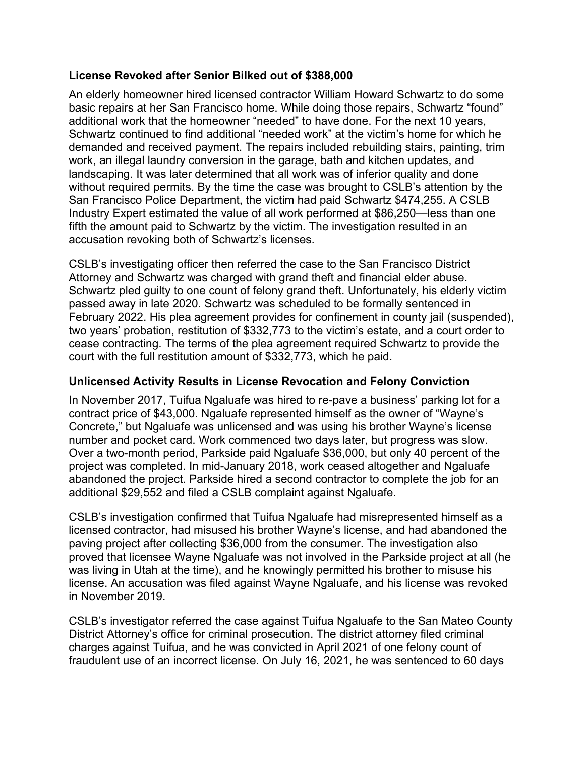#### **License Revoked after Senior Bilked out of \$388,000**

An elderly homeowner hired licensed contractor William Howard Schwartz to do some basic repairs at her San Francisco home. While doing those repairs, Schwartz "found" additional work that the homeowner "needed" to have done. For the next 10 years, Schwartz continued to find additional "needed work" at the victim's home for which he demanded and received payment. The repairs included rebuilding stairs, painting, trim work, an illegal laundry conversion in the garage, bath and kitchen updates, and landscaping. It was later determined that all work was of inferior quality and done without required permits. By the time the case was brought to CSLB's attention by the San Francisco Police Department, the victim had paid Schwartz \$474,255. A CSLB Industry Expert estimated the value of all work performed at \$86,250—less than one fifth the amount paid to Schwartz by the victim. The investigation resulted in an accusation revoking both of Schwartz's licenses.

CSLB's investigating officer then referred the case to the San Francisco District Attorney and Schwartz was charged with grand theft and financial elder abuse. Schwartz pled guilty to one count of felony grand theft. Unfortunately, his elderly victim passed away in late 2020. Schwartz was scheduled to be formally sentenced in February 2022. His plea agreement provides for confinement in county jail (suspended), two years' probation, restitution of \$332,773 to the victim's estate, and a court order to cease contracting. The terms of the plea agreement required Schwartz to provide the court with the full restitution amount of \$332,773, which he paid.

#### **Unlicensed Activity Results in License Revocation and Felony Conviction**

In November 2017, Tuifua Ngaluafe was hired to re-pave a business' parking lot for a contract price of \$43,000. Ngaluafe represented himself as the owner of "Wayne's Concrete," but Ngaluafe was unlicensed and was using his brother Wayne's license number and pocket card. Work commenced two days later, but progress was slow. Over a two-month period, Parkside paid Ngaluafe \$36,000, but only 40 percent of the project was completed. In mid-January 2018, work ceased altogether and Ngaluafe abandoned the project. Parkside hired a second contractor to complete the job for an additional \$29,552 and filed a CSLB complaint against Ngaluafe.

CSLB's investigation confirmed that Tuifua Ngaluafe had misrepresented himself as a licensed contractor, had misused his brother Wayne's license, and had abandoned the paving project after collecting \$36,000 from the consumer. The investigation also proved that licensee Wayne Ngaluafe was not involved in the Parkside project at all (he was living in Utah at the time), and he knowingly permitted his brother to misuse his license. An accusation was filed against Wayne Ngaluafe, and his license was revoked in November 2019.

CSLB's investigator referred the case against Tuifua Ngaluafe to the San Mateo County District Attorney's office for criminal prosecution. The district attorney filed criminal charges against Tuifua, and he was convicted in April 2021 of one felony count of fraudulent use of an incorrect license. On July 16, 2021, he was sentenced to 60 days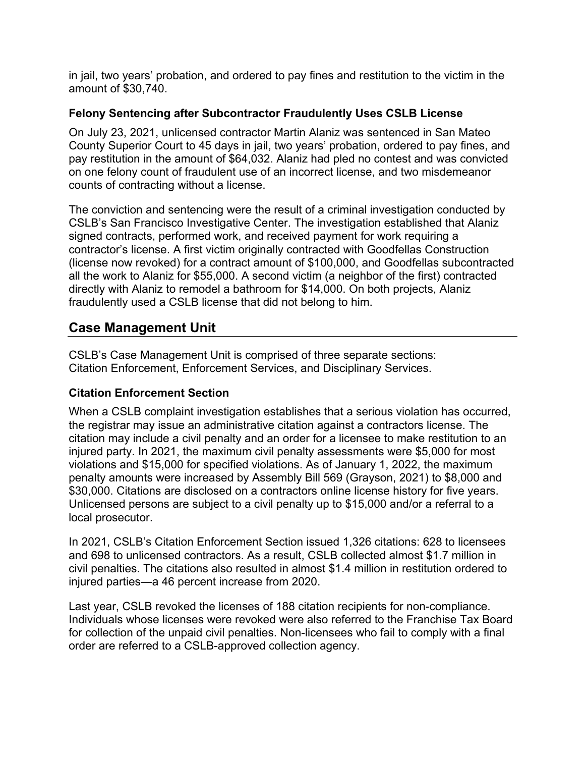in jail, two years' probation, and ordered to pay fines and restitution to the victim in the amount of \$30,740.

#### **Felony Sentencing after Subcontractor Fraudulently Uses CSLB License**

On July 23, 2021, unlicensed contractor Martin Alaniz was sentenced in San Mateo County Superior Court to 45 days in jail, two years' probation, ordered to pay fines, and pay restitution in the amount of \$64,032. Alaniz had pled no contest and was convicted on one felony count of fraudulent use of an incorrect license, and two misdemeanor counts of contracting without a license.

The conviction and sentencing were the result of a criminal investigation conducted by CSLB's San Francisco Investigative Center. The investigation established that Alaniz signed contracts, performed work, and received payment for work requiring a contractor's license. A first victim originally contracted with Goodfellas Construction (license now revoked) for a contract amount of \$100,000, and Goodfellas subcontracted all the work to Alaniz for \$55,000. A second victim (a neighbor of the first) contracted directly with Alaniz to remodel a bathroom for \$14,000. On both projects, Alaniz fraudulently used a CSLB license that did not belong to him.

# **Case Management Unit**

CSLB's Case Management Unit is comprised of three separate sections: Citation Enforcement, Enforcement Services, and Disciplinary Services.

#### **Citation Enforcement Section**

When a CSLB complaint investigation establishes that a serious violation has occurred, the registrar may issue an administrative citation against a contractors license. The citation may include a civil penalty and an order for a licensee to make restitution to an injured party. In 2021, the maximum civil penalty assessments were \$5,000 for most violations and \$15,000 for specified violations. As of January 1, 2022, the maximum penalty amounts were increased by Assembly Bill 569 (Grayson, 2021) to \$8,000 and \$30,000. Citations are disclosed on a contractors online license history for five years. Unlicensed persons are subject to a civil penalty up to \$15,000 and/or a referral to a local prosecutor.

In 2021, CSLB's Citation Enforcement Section issued 1,326 citations: 628 to licensees and 698 to unlicensed contractors. As a result, CSLB collected almost \$1.7 million in civil penalties. The citations also resulted in almost \$1.4 million in restitution ordered to injured parties—a 46 percent increase from 2020.

Last year, CSLB revoked the licenses of 188 citation recipients for non-compliance. Individuals whose licenses were revoked were also referred to the Franchise Tax Board for collection of the unpaid civil penalties. Non-licensees who fail to comply with a final order are referred to a CSLB-approved collection agency.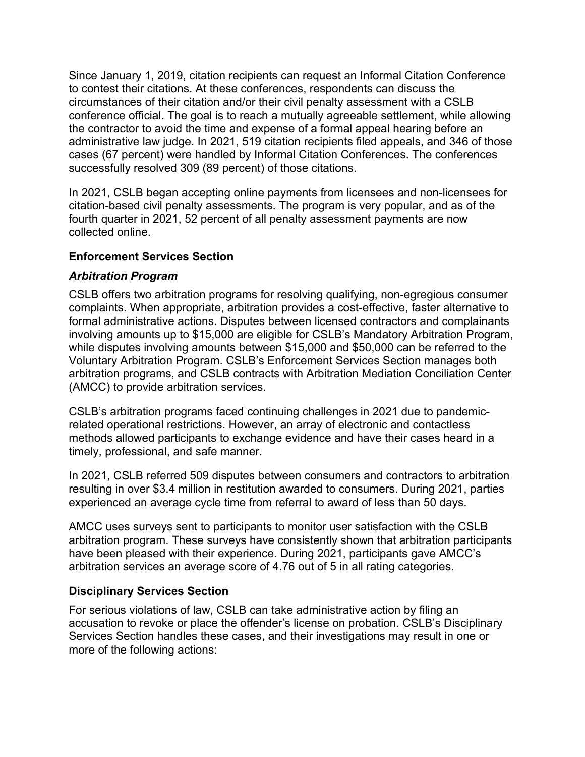Since January 1, 2019, citation recipients can request an Informal Citation Conference to contest their citations. At these conferences, respondents can discuss the circumstances of their citation and/or their civil penalty assessment with a CSLB conference official. The goal is to reach a mutually agreeable settlement, while allowing the contractor to avoid the time and expense of a formal appeal hearing before an administrative law judge. In 2021, 519 citation recipients filed appeals, and 346 of those cases (67 percent) were handled by Informal Citation Conferences. The conferences successfully resolved 309 (89 percent) of those citations.

In 2021, CSLB began accepting online payments from licensees and non-licensees for citation-based civil penalty assessments. The program is very popular, and as of the fourth quarter in 2021, 52 percent of all penalty assessment payments are now collected online.

#### **Enforcement Services Section**

#### *Arbitration Program*

CSLB offers two arbitration programs for resolving qualifying, non-egregious consumer complaints. When appropriate, arbitration provides a cost-effective, faster alternative to formal administrative actions. Disputes between licensed contractors and complainants involving amounts up to \$15,000 are eligible for CSLB's Mandatory Arbitration Program, while disputes involving amounts between \$15,000 and \$50,000 can be referred to the Voluntary Arbitration Program. CSLB's Enforcement Services Section manages both arbitration programs, and CSLB contracts with Arbitration Mediation Conciliation Center (AMCC) to provide arbitration services.

CSLB's arbitration programs faced continuing challenges in 2021 due to pandemicrelated operational restrictions. However, an array of electronic and contactless methods allowed participants to exchange evidence and have their cases heard in a timely, professional, and safe manner.

In 2021, CSLB referred 509 disputes between consumers and contractors to arbitration resulting in over \$3.4 million in restitution awarded to consumers. During 2021, parties experienced an average cycle time from referral to award of less than 50 days.

AMCC uses surveys sent to participants to monitor user satisfaction with the CSLB arbitration program. These surveys have consistently shown that arbitration participants have been pleased with their experience. During 2021, participants gave AMCC's arbitration services an average score of 4.76 out of 5 in all rating categories.

#### **Disciplinary Services Section**

For serious violations of law, CSLB can take administrative action by filing an accusation to revoke or place the offender's license on probation. CSLB's Disciplinary Services Section handles these cases, and their investigations may result in one or more of the following actions: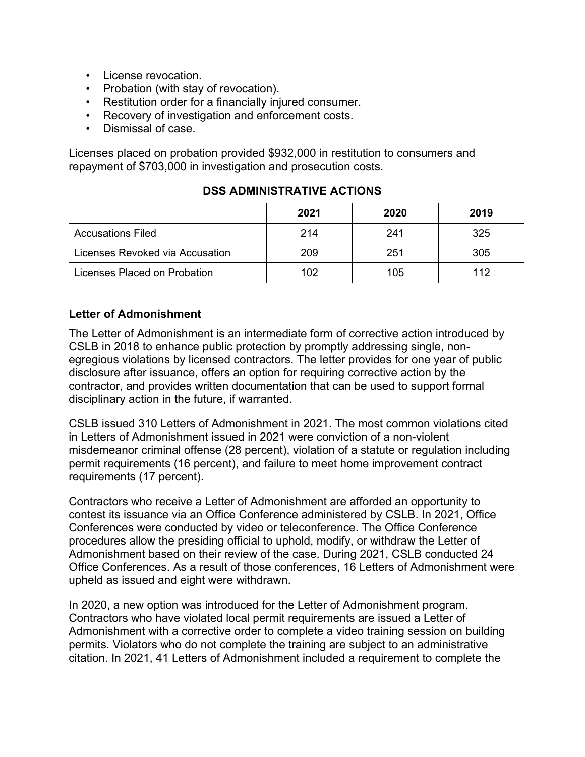- License revocation.
- Probation (with stay of revocation).
- Restitution order for a financially injured consumer.
- Recovery of investigation and enforcement costs.
- Dismissal of case.

Licenses placed on probation provided \$932,000 in restitution to consumers and repayment of \$703,000 in investigation and prosecution costs.

|                                 | 2021 | 2020 | 2019 |
|---------------------------------|------|------|------|
| <b>Accusations Filed</b>        | 214  | 241  | 325  |
| Licenses Revoked via Accusation | 209  | 251  | 305  |
| Licenses Placed on Probation    | 102  | 105  | 112  |

#### **DSS ADMINISTRATIVE ACTIONS**

#### **Letter of Admonishment**

The Letter of Admonishment is an intermediate form of corrective action introduced by CSLB in 2018 to enhance public protection by promptly addressing single, nonegregious violations by licensed contractors. The letter provides for one year of public disclosure after issuance, offers an option for requiring corrective action by the contractor, and provides written documentation that can be used to support formal disciplinary action in the future, if warranted.

CSLB issued 310 Letters of Admonishment in 2021. The most common violations cited in Letters of Admonishment issued in 2021 were conviction of a non-violent misdemeanor criminal offense (28 percent), violation of a statute or regulation including permit requirements (16 percent), and failure to meet home improvement contract requirements (17 percent).

Contractors who receive a Letter of Admonishment are afforded an opportunity to contest its issuance via an Office Conference administered by CSLB. In 2021, Office Conferences were conducted by video or teleconference. The Office Conference procedures allow the presiding official to uphold, modify, or withdraw the Letter of Admonishment based on their review of the case. During 2021, CSLB conducted 24 Office Conferences. As a result of those conferences, 16 Letters of Admonishment were upheld as issued and eight were withdrawn.

In 2020, a new option was introduced for the Letter of Admonishment program. Contractors who have violated local permit requirements are issued a Letter of Admonishment with a corrective order to complete a video training session on building permits. Violators who do not complete the training are subject to an administrative citation. In 2021, 41 Letters of Admonishment included a requirement to complete the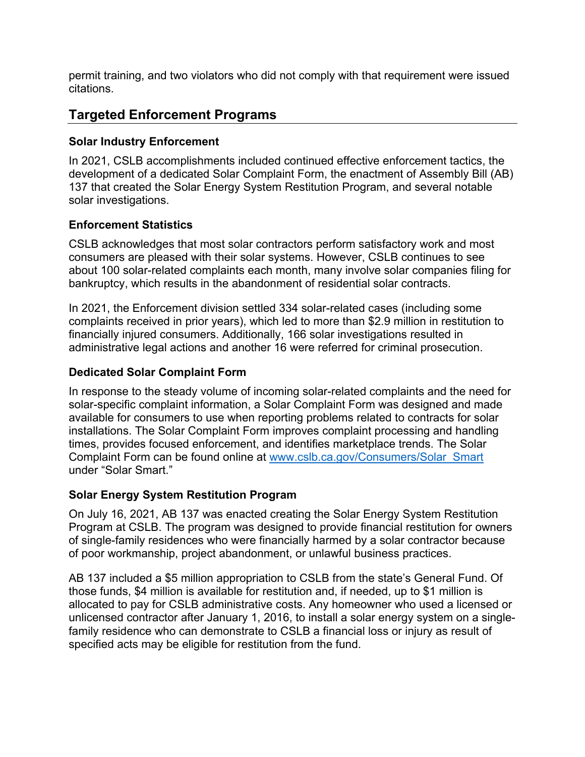permit training, and two violators who did not comply with that requirement were issued citations.

# **Targeted Enforcement Programs**

#### **Solar Industry Enforcement**

In 2021, CSLB accomplishments included continued effective enforcement tactics, the development of a dedicated Solar Complaint Form, the enactment of Assembly Bill (AB) 137 that created the Solar Energy System Restitution Program, and several notable solar investigations.

#### **Enforcement Statistics**

CSLB acknowledges that most solar contractors perform satisfactory work and most consumers are pleased with their solar systems. However, CSLB continues to see about 100 solar-related complaints each month, many involve solar companies filing for bankruptcy, which results in the abandonment of residential solar contracts.

In 2021, the Enforcement division settled 334 solar-related cases (including some complaints received in prior years), which led to more than \$2.9 million in restitution to financially injured consumers. Additionally, 166 solar investigations resulted in administrative legal actions and another 16 were referred for criminal prosecution.

#### **Dedicated Solar Complaint Form**

In response to the steady volume of incoming solar-related complaints and the need for solar-specific complaint information, a Solar Complaint Form was designed and made available for consumers to use when reporting problems related to contracts for solar installations. The Solar Complaint Form improves complaint processing and handling times, provides focused enforcement, and identifies marketplace trends. The Solar Complaint Form can be found online at [www.cslb.ca.gov/Consumers/Solar\\_Smart](http://www.cslb.ca.gov/Consumers/Solar_Smart) under "Solar Smart."

#### **Solar Energy System Restitution Program**

On July 16, 2021, AB 137 was enacted creating the Solar Energy System Restitution Program at CSLB. The program was designed to provide financial restitution for owners of single-family residences who were financially harmed by a solar contractor because of poor workmanship, project abandonment, or unlawful business practices.

AB 137 included a \$5 million appropriation to CSLB from the state's General Fund. Of those funds, \$4 million is available for restitution and, if needed, up to \$1 million is allocated to pay for CSLB administrative costs. Any homeowner who used a licensed or unlicensed contractor after January 1, 2016, to install a solar energy system on a singlefamily residence who can demonstrate to CSLB a financial loss or injury as result of specified acts may be eligible for restitution from the fund.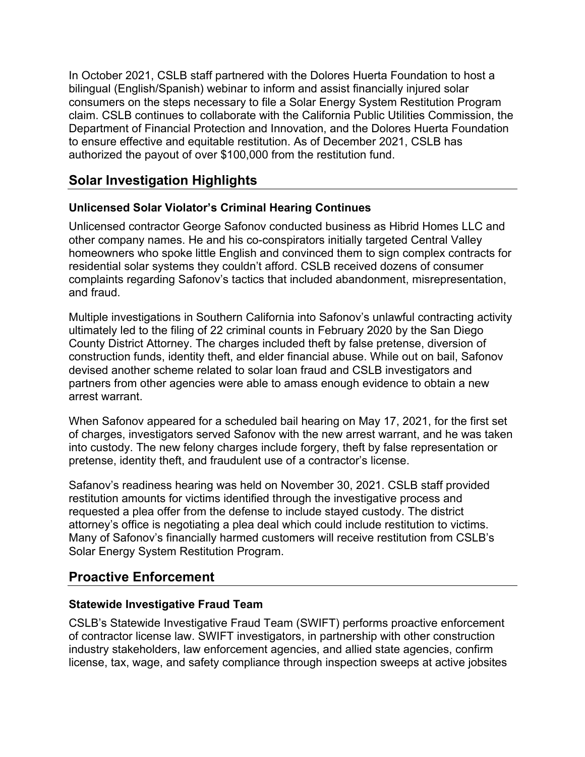In October 2021, CSLB staff partnered with the Dolores Huerta Foundation to host a bilingual (English/Spanish) webinar to inform and assist financially injured solar consumers on the steps necessary to file a Solar Energy System Restitution Program claim. CSLB continues to collaborate with the California Public Utilities Commission, the Department of Financial Protection and Innovation, and the Dolores Huerta Foundation to ensure effective and equitable restitution. As of December 2021, CSLB has authorized the payout of over \$100,000 from the restitution fund.

# **Solar Investigation Highlights**

### **Unlicensed Solar Violator's Criminal Hearing Continues**

Unlicensed contractor George Safonov conducted business as Hibrid Homes LLC and other company names. He and his co-conspirators initially targeted Central Valley homeowners who spoke little English and convinced them to sign complex contracts for residential solar systems they couldn't afford. CSLB received dozens of consumer complaints regarding Safonov's tactics that included abandonment, misrepresentation, and fraud.

Multiple investigations in Southern California into Safonov's unlawful contracting activity ultimately led to the filing of 22 criminal counts in February 2020 by the San Diego County District Attorney. The charges included theft by false pretense, diversion of construction funds, identity theft, and elder financial abuse. While out on bail, Safonov devised another scheme related to solar loan fraud and CSLB investigators and partners from other agencies were able to amass enough evidence to obtain a new arrest warrant.

When Safonov appeared for a scheduled bail hearing on May 17, 2021, for the first set of charges, investigators served Safonov with the new arrest warrant, and he was taken into custody. The new felony charges include forgery, theft by false representation or pretense, identity theft, and fraudulent use of a contractor's license.

Safanov's readiness hearing was held on November 30, 2021. CSLB staff provided restitution amounts for victims identified through the investigative process and requested a plea offer from the defense to include stayed custody. The district attorney's office is negotiating a plea deal which could include restitution to victims. Many of Safonov's financially harmed customers will receive restitution from CSLB's Solar Energy System Restitution Program.

# **Proactive Enforcement**

#### **Statewide Investigative Fraud Team**

CSLB's Statewide Investigative Fraud Team (SWIFT) performs proactive enforcement of contractor license law. SWIFT investigators, in partnership with other construction industry stakeholders, law enforcement agencies, and allied state agencies, confirm license, tax, wage, and safety compliance through inspection sweeps at active jobsites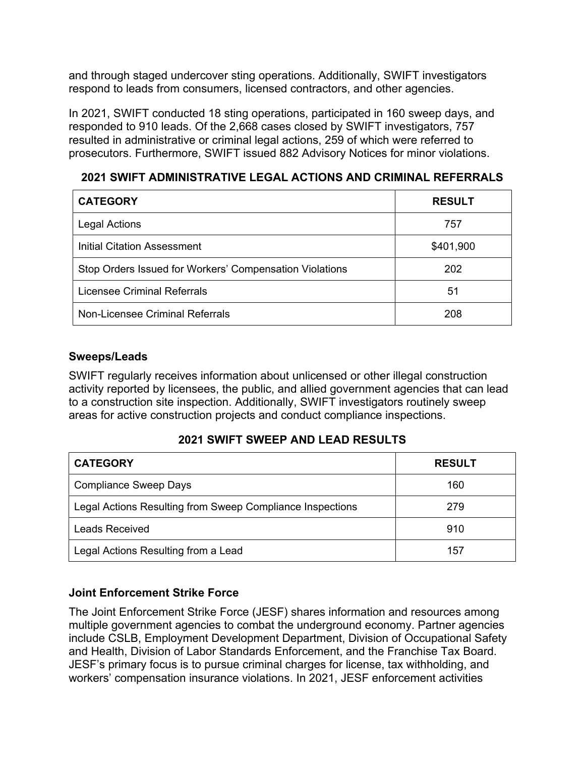and through staged undercover sting operations. Additionally, SWIFT investigators respond to leads from consumers, licensed contractors, and other agencies.

In 2021, SWIFT conducted 18 sting operations, participated in 160 sweep days, and responded to 910 leads. Of the 2,668 cases closed by SWIFT investigators, 757 resulted in administrative or criminal legal actions, 259 of which were referred to prosecutors. Furthermore, SWIFT issued 882 Advisory Notices for minor violations.

**2021 SWIFT ADMINISTRATIVE LEGAL ACTIONS AND CRIMINAL REFERRALS**

| <b>CATEGORY</b>                                         | <b>RESULT</b> |
|---------------------------------------------------------|---------------|
| <b>Legal Actions</b>                                    | 757           |
| Initial Citation Assessment                             | \$401,900     |
| Stop Orders Issued for Workers' Compensation Violations | 202           |
| Licensee Criminal Referrals                             | 51            |
| Non-Licensee Criminal Referrals                         | 208           |

#### **Sweeps/Leads**

SWIFT regularly receives information about unlicensed or other illegal construction activity reported by licensees, the public, and allied government agencies that can lead to a construction site inspection. Additionally, SWIFT investigators routinely sweep areas for active construction projects and conduct compliance inspections.

#### **2021 SWIFT SWEEP AND LEAD RESULTS**

| <b>CATEGORY</b>                                           | <b>RESULT</b> |
|-----------------------------------------------------------|---------------|
| <b>Compliance Sweep Days</b>                              | 160           |
| Legal Actions Resulting from Sweep Compliance Inspections | 279           |
| <b>Leads Received</b>                                     | 910           |
| Legal Actions Resulting from a Lead                       | 157           |

### **Joint Enforcement Strike Force**

The Joint Enforcement Strike Force (JESF) shares information and resources among multiple government agencies to combat the underground economy. Partner agencies include CSLB, Employment Development Department, Division of Occupational Safety and Health, Division of Labor Standards Enforcement, and the Franchise Tax Board. JESF's primary focus is to pursue criminal charges for license, tax withholding, and workers' compensation insurance violations. In 2021, JESF enforcement activities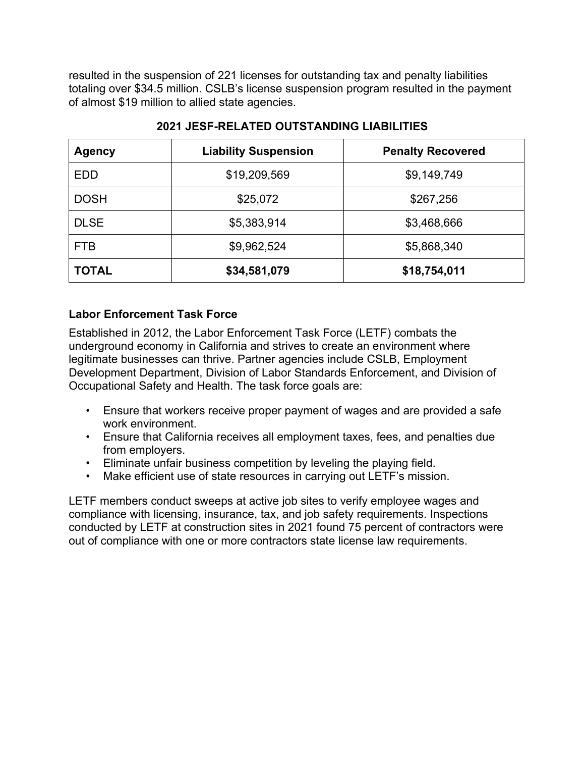resulted in the suspension of 221 licenses for outstanding tax and penalty liabilities totaling over \$34.5 million. CSLB's license suspension program resulted in the payment of almost \$19 million to allied state agencies.

| <b>Agency</b> | <b>Liability Suspension</b> | <b>Penalty Recovered</b> |
|---------------|-----------------------------|--------------------------|
| <b>EDD</b>    | \$19,209,569                | \$9,149,749              |
| <b>DOSH</b>   | \$25,072                    | \$267,256                |
| <b>DLSE</b>   | \$5,383,914                 | \$3,468,666              |
| <b>FTB</b>    | \$9,962,524                 | \$5,868,340              |
| <b>TOTAL</b>  | \$34,581,079                | \$18,754,011             |

#### **2021 JESF-RELATED OUTSTANDING LIABILITIES**

#### **Labor Enforcement Task Force**

Established in 2012, the Labor Enforcement Task Force (LETF) combats the underground economy in California and strives to create an environment where legitimate businesses can thrive. Partner agencies include CSLB, Employment Development Department, Division of Labor Standards Enforcement, and Division of Occupational Safety and Health. The task force goals are:

- Ensure that workers receive proper payment of wages and are provided a safe work environment.
- Ensure that California receives all employment taxes, fees, and penalties due from employers.
- Eliminate unfair business competition by leveling the playing field.
- Make efficient use of state resources in carrying out LETF's mission.

LETF members conduct sweeps at active job sites to verify employee wages and compliance with licensing, insurance, tax, and job safety requirements. Inspections conducted by LETF at construction sites in 2021 found 75 percent of contractors were out of compliance with one or more contractors state license law requirements.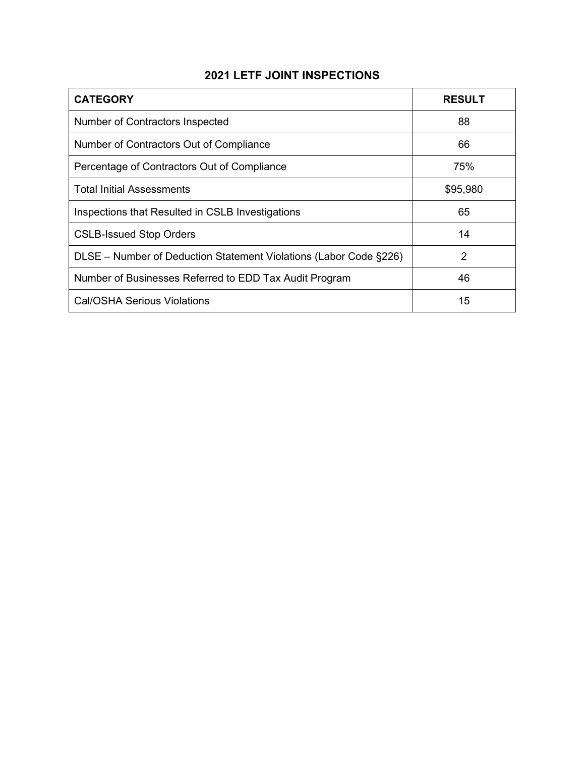### **2021 LETF JOINT INSPECTIONS**

| <b>CATEGORY</b>                                                   | <b>RESULT</b> |
|-------------------------------------------------------------------|---------------|
| Number of Contractors Inspected                                   | 88            |
| Number of Contractors Out of Compliance                           | 66            |
| Percentage of Contractors Out of Compliance                       | 75%           |
| <b>Total Initial Assessments</b>                                  | \$95,980      |
| Inspections that Resulted in CSLB Investigations                  | 65            |
| <b>CSLB-Issued Stop Orders</b>                                    | 14            |
| DLSE - Number of Deduction Statement Violations (Labor Code §226) | 2             |
| Number of Businesses Referred to EDD Tax Audit Program            | 46            |
| Cal/OSHA Serious Violations                                       | 15            |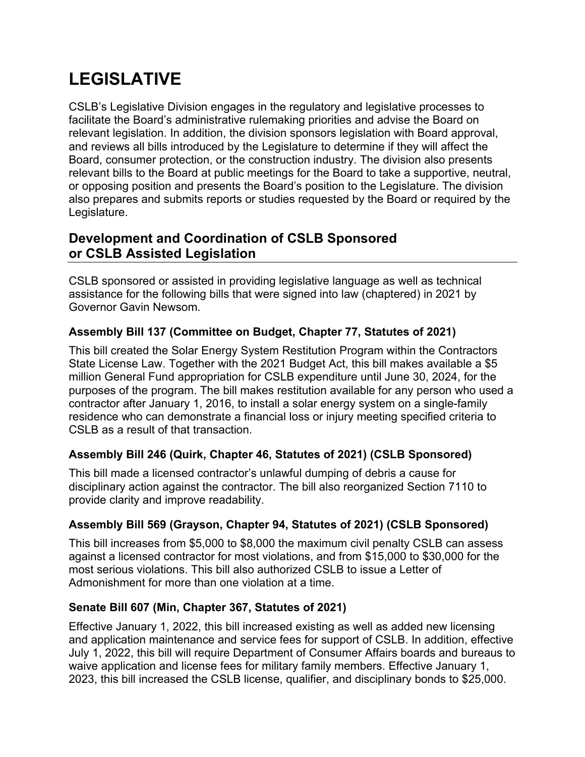# **LEGISLATIVE**

CSLB's Legislative Division engages in the regulatory and legislative processes to facilitate the Board's administrative rulemaking priorities and advise the Board on relevant legislation. In addition, the division sponsors legislation with Board approval, and reviews all bills introduced by the Legislature to determine if they will affect the Board, consumer protection, or the construction industry. The division also presents relevant bills to the Board at public meetings for the Board to take a supportive, neutral, or opposing position and presents the Board's position to the Legislature. The division also prepares and submits reports or studies requested by the Board or required by the Legislature.

# **Development and Coordination of CSLB Sponsored or CSLB Assisted Legislation**

CSLB sponsored or assisted in providing legislative language as well as technical assistance for the following bills that were signed into law (chaptered) in 2021 by Governor Gavin Newsom.

#### **Assembly Bill 137 (Committee on Budget, Chapter 77, Statutes of 2021)**

This bill created the Solar Energy System Restitution Program within the Contractors State License Law. Together with the 2021 Budget Act, this bill makes available a \$5 million General Fund appropriation for CSLB expenditure until June 30, 2024, for the purposes of the program. The bill makes restitution available for any person who used a contractor after January 1, 2016, to install a solar energy system on a single-family residence who can demonstrate a financial loss or injury meeting specified criteria to CSLB as a result of that transaction.

### **Assembly Bill 246 (Quirk, Chapter 46, Statutes of 2021) (CSLB Sponsored)**

This bill made a licensed contractor's unlawful dumping of debris a cause for disciplinary action against the contractor. The bill also reorganized Section 7110 to provide clarity and improve readability.

### **Assembly Bill 569 (Grayson, Chapter 94, Statutes of 2021) (CSLB Sponsored)**

This bill increases from \$5,000 to \$8,000 the maximum civil penalty CSLB can assess against a licensed contractor for most violations, and from \$15,000 to \$30,000 for the most serious violations. This bill also authorized CSLB to issue a Letter of Admonishment for more than one violation at a time.

#### **Senate Bill 607 (Min, Chapter 367, Statutes of 2021)**

Effective January 1, 2022, this bill increased existing as well as added new licensing and application maintenance and service fees for support of CSLB. In addition, effective July 1, 2022, this bill will require Department of Consumer Affairs boards and bureaus to waive application and license fees for military family members. Effective January 1, 2023, this bill increased the CSLB license, qualifier, and disciplinary bonds to \$25,000.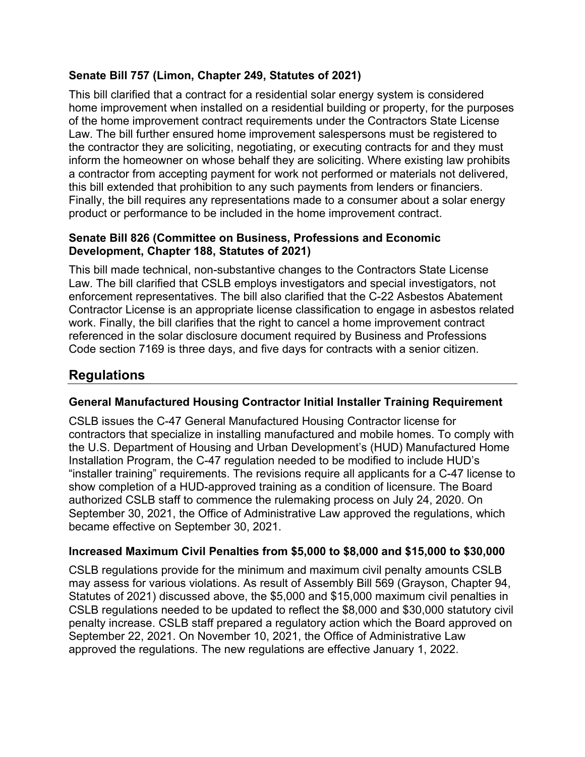#### **Senate Bill 757 (Limon, Chapter 249, Statutes of 2021)**

This bill clarified that a contract for a residential solar energy system is considered home improvement when installed on a residential building or property, for the purposes of the home improvement contract requirements under the Contractors State License Law. The bill further ensured home improvement salespersons must be registered to the contractor they are soliciting, negotiating, or executing contracts for and they must inform the homeowner on whose behalf they are soliciting. Where existing law prohibits a contractor from accepting payment for work not performed or materials not delivered, this bill extended that prohibition to any such payments from lenders or financiers. Finally, the bill requires any representations made to a consumer about a solar energy product or performance to be included in the home improvement contract.

#### **Senate Bill 826 (Committee on Business, Professions and Economic Development, Chapter 188, Statutes of 2021)**

This bill made technical, non-substantive changes to the Contractors State License Law. The bill clarified that CSLB employs investigators and special investigators, not enforcement representatives. The bill also clarified that the C-22 Asbestos Abatement Contractor License is an appropriate license classification to engage in asbestos related work. Finally, the bill clarifies that the right to cancel a home improvement contract referenced in the solar disclosure document required by Business and Professions Code section 7169 is three days, and five days for contracts with a senior citizen.

# **Regulations**

#### **General Manufactured Housing Contractor Initial Installer Training Requirement**

CSLB issues the C-47 General Manufactured Housing Contractor license for contractors that specialize in installing manufactured and mobile homes. To comply with the U.S. Department of Housing and Urban Development's (HUD) Manufactured Home Installation Program, the C-47 regulation needed to be modified to include HUD's "installer training" requirements. The revisions require all applicants for a C-47 license to show completion of a HUD-approved training as a condition of licensure. The Board authorized CSLB staff to commence the rulemaking process on July 24, 2020. On September 30, 2021, the Office of Administrative Law approved the regulations, which became effective on September 30, 2021.

#### **Increased Maximum Civil Penalties from \$5,000 to \$8,000 and \$15,000 to \$30,000**

CSLB regulations provide for the minimum and maximum civil penalty amounts CSLB may assess for various violations. As result of Assembly Bill 569 (Grayson, Chapter 94, Statutes of 2021) discussed above, the \$5,000 and \$15,000 maximum civil penalties in CSLB regulations needed to be updated to reflect the \$8,000 and \$30,000 statutory civil penalty increase. CSLB staff prepared a regulatory action which the Board approved on September 22, 2021. On November 10, 2021, the Office of Administrative Law approved the regulations. The new regulations are effective January 1, 2022.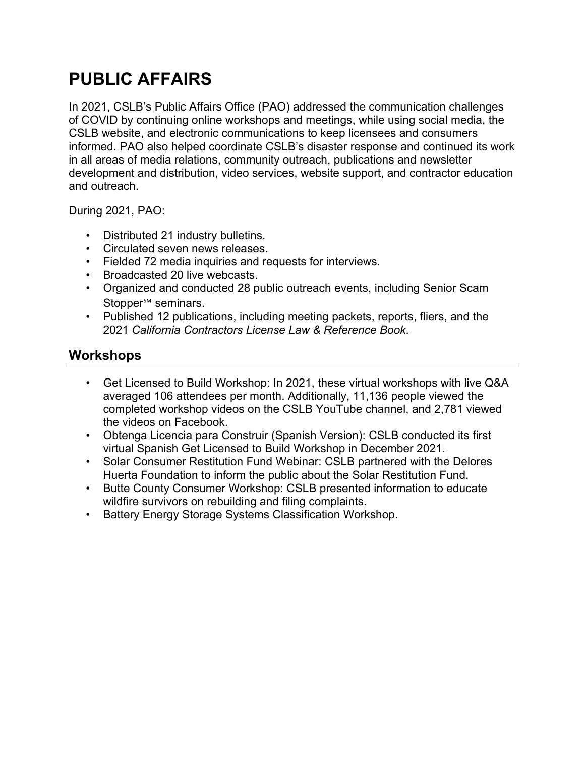# **PUBLIC AFFAIRS**

In 2021, CSLB's Public Affairs Office (PAO) addressed the communication challenges of COVID by continuing online workshops and meetings, while using social media, the CSLB website, and electronic communications to keep licensees and consumers informed. PAO also helped coordinate CSLB's disaster response and continued its work in all areas of media relations, community outreach, publications and newsletter development and distribution, video services, website support, and contractor education and outreach.

During 2021, PAO:

- Distributed 21 industry bulletins.
- Circulated seven news releases.
- Fielded 72 media inquiries and requests for interviews.
- Broadcasted 20 live webcasts.
- Organized and conducted 28 public outreach events, including Senior Scam Stopper<sup>sM</sup> seminars.
- Published 12 publications, including meeting packets, reports, fliers, and the 2021 *California Contractors License Law & Reference Book*.

# **Workshops**

- Get Licensed to Build Workshop: In 2021, these virtual workshops with live Q&A averaged 106 attendees per month. Additionally, 11,136 people viewed the completed workshop videos on the CSLB YouTube channel, and 2,781 viewed the videos on Facebook.
- Obtenga Licencia para Construir (Spanish Version): CSLB conducted its first virtual Spanish Get Licensed to Build Workshop in December 2021.
- Solar Consumer Restitution Fund Webinar: CSLB partnered with the Delores Huerta Foundation to inform the public about the Solar Restitution Fund.
- Butte County Consumer Workshop: CSLB presented information to educate wildfire survivors on rebuilding and filing complaints.
- Battery Energy Storage Systems Classification Workshop.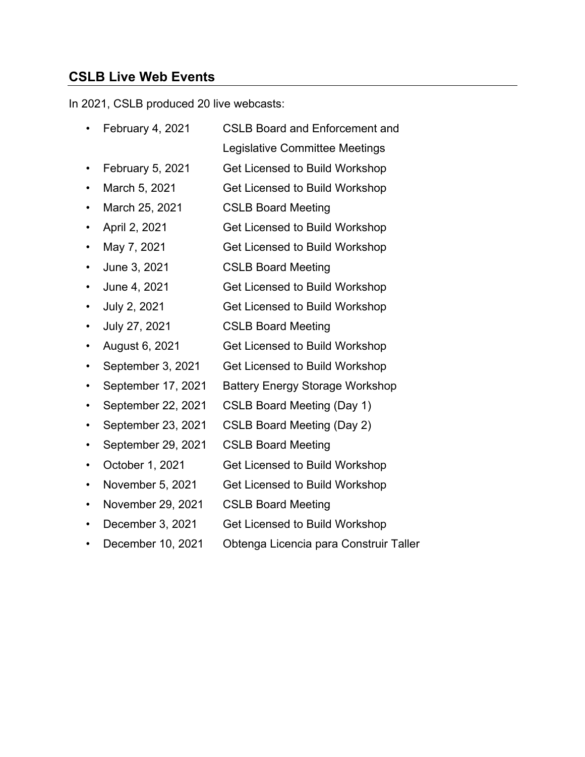### **CSLB Live Web Events**

In 2021, CSLB produced 20 live webcasts:

- February 4, 2021 CSLB Board and Enforcement and
	- Legislative Committee Meetings
- February 5, 2021 Get Licensed to Build Workshop
- March 5, 2021 Get Licensed to Build Workshop
- March 25, 2021 CSLB Board Meeting
- April 2, 2021 Get Licensed to Build Workshop
- May 7, 2021 Get Licensed to Build Workshop
- June 3, 2021 CSLB Board Meeting
- June 4, 2021 Get Licensed to Build Workshop
- July 2, 2021 Get Licensed to Build Workshop
- July 27, 2021 CSLB Board Meeting
- August 6, 2021 Get Licensed to Build Workshop
- September 3, 2021 Get Licensed to Build Workshop
- September 17, 2021 Battery Energy Storage Workshop
- September 22, 2021 CSLB Board Meeting (Day 1)
- September 23, 2021 CSLB Board Meeting (Day 2)
- September 29, 2021 CSLB Board Meeting
- October 1, 2021 Get Licensed to Build Workshop
- November 5, 2021 Get Licensed to Build Workshop
- November 29, 2021 CSLB Board Meeting
- December 3, 2021 Get Licensed to Build Workshop
- December 10, 2021 Obtenga Licencia para Construir Taller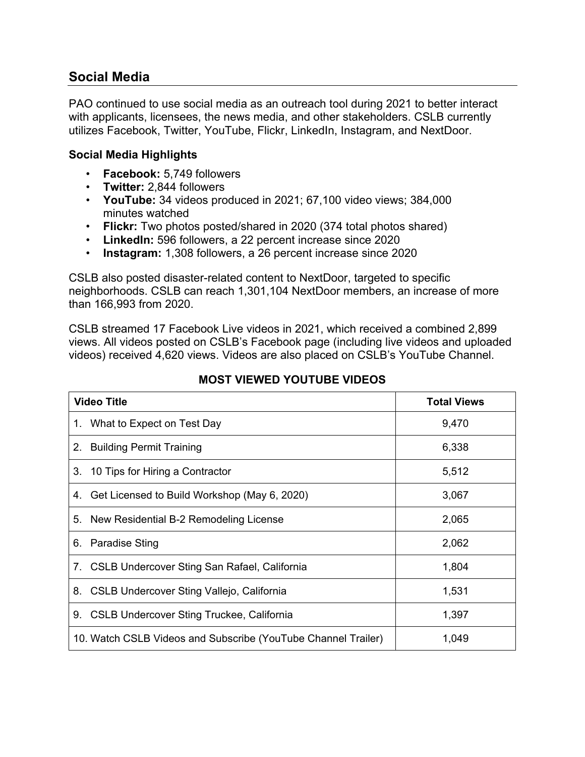### **Social Media**

PAO continued to use social media as an outreach tool during 2021 to better interact with applicants, licensees, the news media, and other stakeholders. CSLB currently utilizes Facebook, Twitter, YouTube, Flickr, LinkedIn, Instagram, and NextDoor.

#### **Social Media Highlights**

- **Facebook:** 5,749 followers
- **Twitter:** 2,844 followers
- **YouTube:** 34 videos produced in 2021; 67,100 video views; 384,000 minutes watched
- **Flickr:** Two photos posted/shared in 2020 (374 total photos shared)
- **LinkedIn:** 596 followers, a 22 percent increase since 2020
- **Instagram:** 1,308 followers, a 26 percent increase since 2020

CSLB also posted disaster-related content to NextDoor, targeted to specific neighborhoods. CSLB can reach 1,301,104 NextDoor members, an increase of more than 166,993 from 2020.

CSLB streamed 17 Facebook Live videos in 2021, which received a combined 2,899 views. All videos posted on CSLB's Facebook page (including live videos and uploaded videos) received 4,620 views. Videos are also placed on CSLB's YouTube Channel.

| <b>Video Title</b>                                            | <b>Total Views</b> |
|---------------------------------------------------------------|--------------------|
| 1. What to Expect on Test Day                                 | 9,470              |
| 2. Building Permit Training                                   | 6,338              |
| 3. 10 Tips for Hiring a Contractor                            | 5,512              |
| 4. Get Licensed to Build Workshop (May 6, 2020)               | 3,067              |
| 5. New Residential B-2 Remodeling License                     | 2,065              |
| 6. Paradise Sting                                             | 2,062              |
| 7. CSLB Undercover Sting San Rafael, California               | 1,804              |
| 8. CSLB Undercover Sting Vallejo, California                  | 1,531              |
| 9. CSLB Undercover Sting Truckee, California                  | 1,397              |
| 10. Watch CSLB Videos and Subscribe (YouTube Channel Trailer) | 1,049              |

#### **MOST VIEWED YOUTUBE VIDEOS**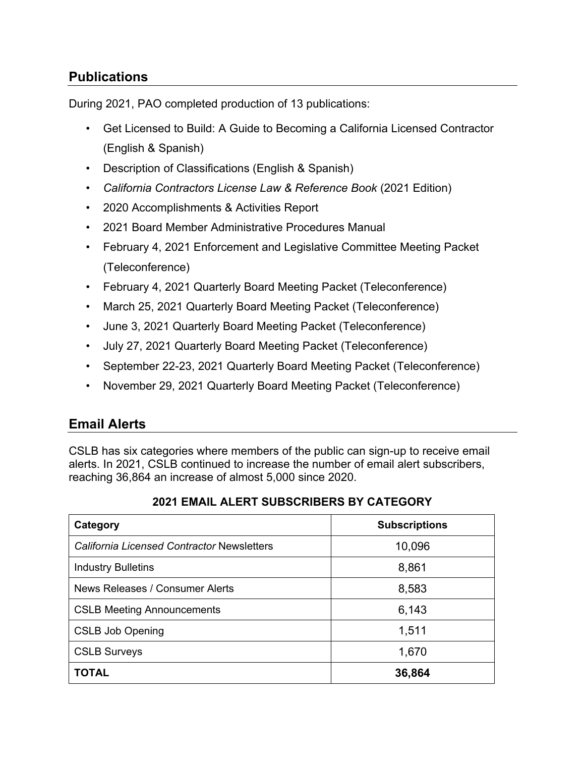# **Publications**

During 2021, PAO completed production of 13 publications:

- Get Licensed to Build: A Guide to Becoming a California Licensed Contractor (English & Spanish)
- Description of Classifications (English & Spanish)
- *California Contractors License Law & Reference Book* (2021 Edition)
- 2020 Accomplishments & Activities Report
- 2021 Board Member Administrative Procedures Manual
- February 4, 2021 Enforcement and Legislative Committee Meeting Packet (Teleconference)
- February 4, 2021 Quarterly Board Meeting Packet (Teleconference)
- March 25, 2021 Quarterly Board Meeting Packet (Teleconference)
- June 3, 2021 Quarterly Board Meeting Packet (Teleconference)
- July 27, 2021 Quarterly Board Meeting Packet (Teleconference)
- September 22-23, 2021 Quarterly Board Meeting Packet (Teleconference)
- November 29, 2021 Quarterly Board Meeting Packet (Teleconference)

### **Email Alerts**

CSLB has six categories where members of the public can sign-up to receive email alerts. In 2021, CSLB continued to increase the number of email alert subscribers, reaching 36,864 an increase of almost 5,000 since 2020.

| Category                                          | <b>Subscriptions</b> |
|---------------------------------------------------|----------------------|
| <b>California Licensed Contractor Newsletters</b> | 10,096               |
| <b>Industry Bulletins</b>                         | 8,861                |
| News Releases / Consumer Alerts                   | 8,583                |
| <b>CSLB Meeting Announcements</b>                 | 6,143                |
| <b>CSLB Job Opening</b>                           | 1,511                |
| <b>CSLB Surveys</b>                               | 1,670                |
| <b>TOTAL</b>                                      | 36,864               |

#### **2021 EMAIL ALERT SUBSCRIBERS BY CATEGORY**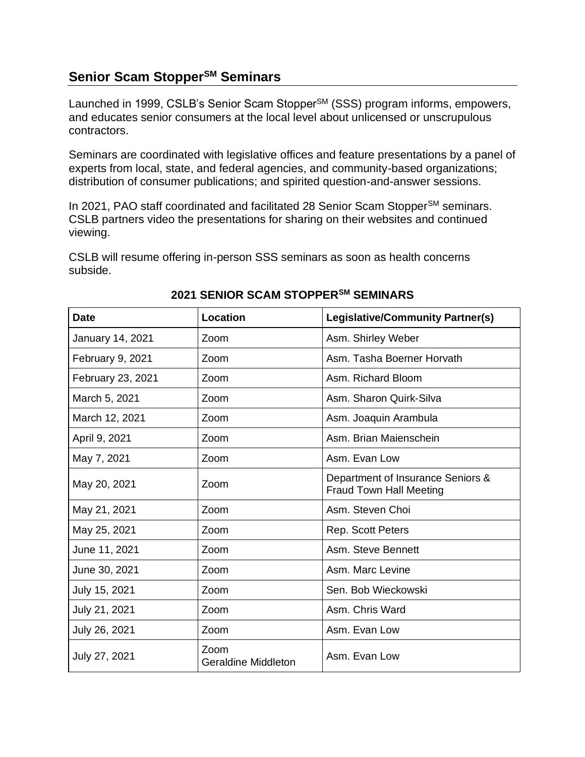### **Senior Scam StopperSM Seminars**

Launched in 1999, CSLB's Senior Scam Stopper<sup>SM</sup> (SSS) program informs, empowers, and educates senior consumers at the local level about unlicensed or unscrupulous contractors.

Seminars are coordinated with legislative offices and feature presentations by a panel of experts from local, state, and federal agencies, and community-based organizations; distribution of consumer publications; and spirited question-and-answer sessions.

In 2021, PAO staff coordinated and facilitated 28 Senior Scam Stopper<sup>SM</sup> seminars. CSLB partners video the presentations for sharing on their websites and continued viewing.

CSLB will resume offering in-person SSS seminars as soon as health concerns subside.

| <b>Date</b>       | Location                    | <b>Legislative/Community Partner(s)</b>                             |
|-------------------|-----------------------------|---------------------------------------------------------------------|
| January 14, 2021  | Zoom                        | Asm. Shirley Weber                                                  |
| February 9, 2021  | Zoom                        | Asm. Tasha Boerner Horvath                                          |
| February 23, 2021 | Zoom                        | Asm. Richard Bloom                                                  |
| March 5, 2021     | Zoom                        | Asm. Sharon Quirk-Silva                                             |
| March 12, 2021    | Zoom                        | Asm. Joaquin Arambula                                               |
| April 9, 2021     | Zoom                        | Asm. Brian Maienschein                                              |
| May 7, 2021       | Zoom                        | Asm. Evan Low                                                       |
| May 20, 2021      | Zoom                        | Department of Insurance Seniors &<br><b>Fraud Town Hall Meeting</b> |
| May 21, 2021      | Zoom                        | Asm. Steven Choi                                                    |
| May 25, 2021      | Zoom                        | Rep. Scott Peters                                                   |
| June 11, 2021     | Zoom                        | Asm. Steve Bennett                                                  |
| June 30, 2021     | Zoom                        | Asm. Marc Levine                                                    |
| July 15, 2021     | Zoom                        | Sen. Bob Wieckowski                                                 |
| July 21, 2021     | Zoom                        | Asm. Chris Ward                                                     |
| July 26, 2021     | Zoom                        | Asm. Evan Low                                                       |
| July 27, 2021     | Zoom<br>Geraldine Middleton | Asm. Evan Low                                                       |

#### **2021 SENIOR SCAM STOPPERSM SEMINARS**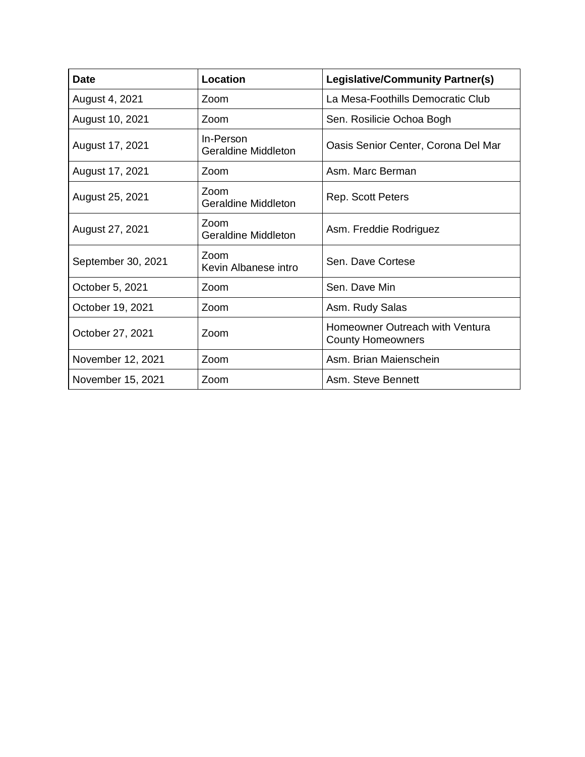| <b>Date</b>        | Location                           | Legislative/Community Partner(s)                            |
|--------------------|------------------------------------|-------------------------------------------------------------|
| August 4, 2021     | Zoom                               | La Mesa-Foothills Democratic Club                           |
| August 10, 2021    | Zoom                               | Sen. Rosilicie Ochoa Bogh                                   |
| August 17, 2021    | In-Person<br>Geraldine Middleton   | Oasis Senior Center, Corona Del Mar                         |
| August 17, 2021    | Zoom                               | Asm. Marc Berman                                            |
| August 25, 2021    | Zoom<br><b>Geraldine Middleton</b> | <b>Rep. Scott Peters</b>                                    |
| August 27, 2021    | Zoom<br>Geraldine Middleton        | Asm. Freddie Rodriguez                                      |
| September 30, 2021 | Zoom<br>Kevin Albanese intro       | Sen. Dave Cortese                                           |
| October 5, 2021    | Zoom                               | Sen. Dave Min                                               |
| October 19, 2021   | Zoom                               | Asm. Rudy Salas                                             |
| October 27, 2021   | Zoom                               | Homeowner Outreach with Ventura<br><b>County Homeowners</b> |
| November 12, 2021  | Zoom                               | Asm. Brian Maienschein                                      |
| November 15, 2021  | Zoom                               | Asm. Steve Bennett                                          |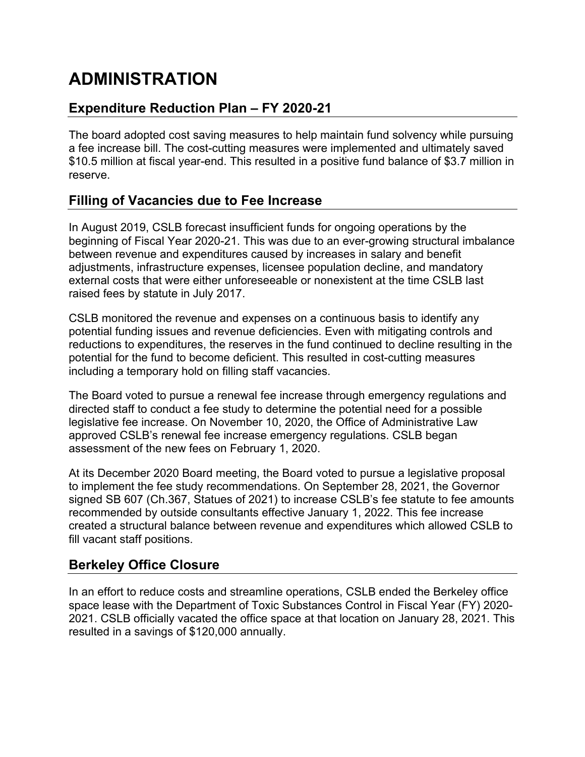# **ADMINISTRATION**

# **Expenditure Reduction Plan – FY 2020-21**

The board adopted cost saving measures to help maintain fund solvency while pursuing a fee increase bill. The cost-cutting measures were implemented and ultimately saved \$10.5 million at fiscal year-end. This resulted in a positive fund balance of \$3.7 million in reserve.

# **Filling of Vacancies due to Fee Increase**

In August 2019, CSLB forecast insufficient funds for ongoing operations by the beginning of Fiscal Year 2020-21. This was due to an ever-growing structural imbalance between revenue and expenditures caused by increases in salary and benefit adjustments, infrastructure expenses, licensee population decline, and mandatory external costs that were either unforeseeable or nonexistent at the time CSLB last raised fees by statute in July 2017.

CSLB monitored the revenue and expenses on a continuous basis to identify any potential funding issues and revenue deficiencies. Even with mitigating controls and reductions to expenditures, the reserves in the fund continued to decline resulting in the potential for the fund to become deficient. This resulted in cost-cutting measures including a temporary hold on filling staff vacancies.

The Board voted to pursue a renewal fee increase through emergency regulations and directed staff to conduct a fee study to determine the potential need for a possible legislative fee increase. On November 10, 2020, the Office of Administrative Law approved CSLB's renewal fee increase emergency regulations. CSLB began assessment of the new fees on February 1, 2020.

At its December 2020 Board meeting, the Board voted to pursue a legislative proposal to implement the fee study recommendations. On September 28, 2021, the Governor signed SB 607 (Ch.367, Statues of 2021) to increase CSLB's fee statute to fee amounts recommended by outside consultants effective January 1, 2022. This fee increase created a structural balance between revenue and expenditures which allowed CSLB to fill vacant staff positions.

# **Berkeley Office Closure**

In an effort to reduce costs and streamline operations, CSLB ended the Berkeley office space lease with the Department of Toxic Substances Control in Fiscal Year (FY) 2020- 2021. CSLB officially vacated the office space at that location on January 28, 2021. This resulted in a savings of \$120,000 annually.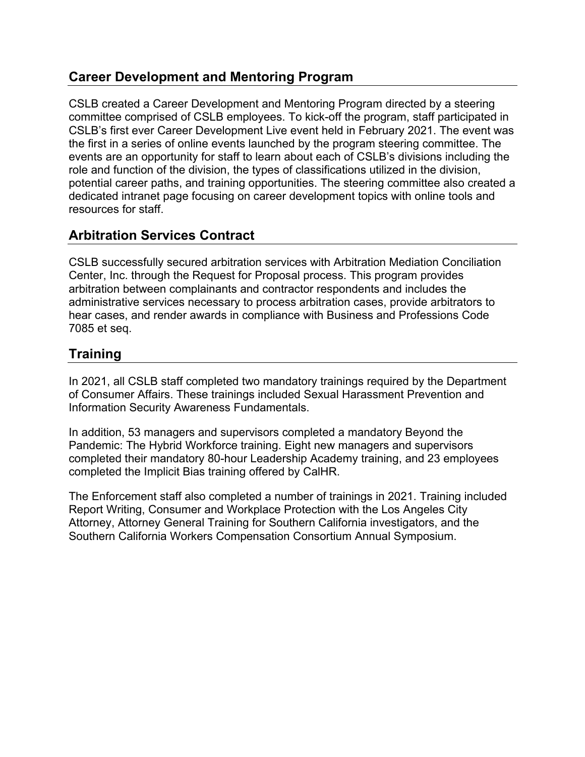# **Career Development and Mentoring Program**

CSLB created a Career Development and Mentoring Program directed by a steering committee comprised of CSLB employees. To kick-off the program, staff participated in CSLB's first ever Career Development Live event held in February 2021. The event was the first in a series of online events launched by the program steering committee. The events are an opportunity for staff to learn about each of CSLB's divisions including the role and function of the division, the types of classifications utilized in the division, potential career paths, and training opportunities. The steering committee also created a dedicated intranet page focusing on career development topics with online tools and resources for staff.

# **Arbitration Services Contract**

CSLB successfully secured arbitration services with Arbitration Mediation Conciliation Center, Inc. through the Request for Proposal process. This program provides arbitration between complainants and contractor respondents and includes the administrative services necessary to process arbitration cases, provide arbitrators to hear cases, and render awards in compliance with Business and Professions Code 7085 et seq.

# **Training**

In 2021, all CSLB staff completed two mandatory trainings required by the Department of Consumer Affairs. These trainings included Sexual Harassment Prevention and Information Security Awareness Fundamentals.

In addition, 53 managers and supervisors completed a mandatory Beyond the Pandemic: The Hybrid Workforce training. Eight new managers and supervisors completed their mandatory 80-hour Leadership Academy training, and 23 employees completed the Implicit Bias training offered by CalHR.

The Enforcement staff also completed a number of trainings in 2021. Training included Report Writing, Consumer and Workplace Protection with the Los Angeles City Attorney, Attorney General Training for Southern California investigators, and the Southern California Workers Compensation Consortium Annual Symposium.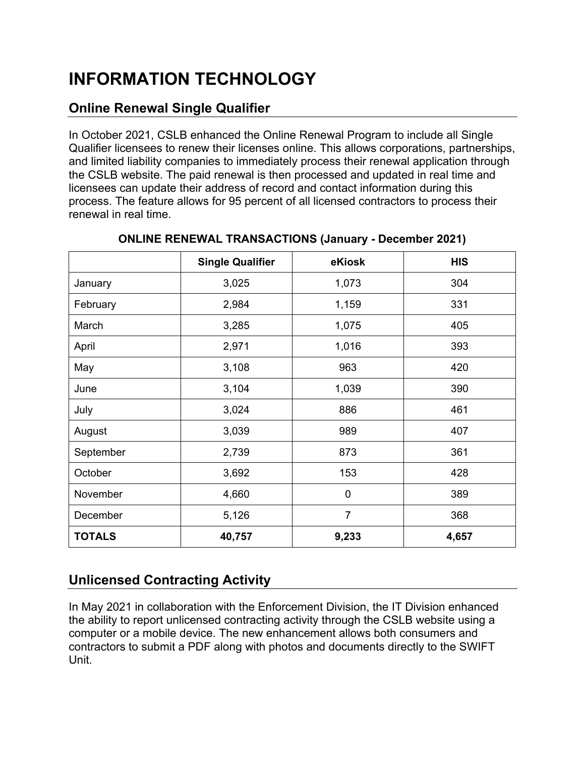# **INFORMATION TECHNOLOGY**

# **Online Renewal Single Qualifier**

In October 2021, CSLB enhanced the Online Renewal Program to include all Single Qualifier licensees to renew their licenses online. This allows corporations, partnerships, and limited liability companies to immediately process their renewal application through the CSLB website. The paid renewal is then processed and updated in real time and licensees can update their address of record and contact information during this process. The feature allows for 95 percent of all licensed contractors to process their renewal in real time.

|               | <b>Single Qualifier</b> | eKiosk         | <b>HIS</b> |
|---------------|-------------------------|----------------|------------|
| January       | 3,025                   | 1,073          | 304        |
| February      | 2,984                   | 1,159          | 331        |
| March         | 3,285                   | 1,075          | 405        |
| April         | 2,971                   | 1,016          | 393        |
| May           | 3,108                   | 963            | 420        |
| June          | 3,104                   | 1,039          | 390        |
| July          | 3,024                   | 886            | 461        |
| August        | 3,039                   | 989            | 407        |
| September     | 2,739                   | 873            | 361        |
| October       | 3,692                   | 153            | 428        |
| November      | 4,660                   | $\mathbf 0$    | 389        |
| December      | 5,126                   | $\overline{7}$ | 368        |
| <b>TOTALS</b> | 40,757                  | 9,233          | 4,657      |

#### **ONLINE RENEWAL TRANSACTIONS (January - December 2021)**

# **Unlicensed Contracting Activity**

In May 2021 in collaboration with the Enforcement Division, the IT Division enhanced the ability to report unlicensed contracting activity through the CSLB website using a computer or a mobile device. The new enhancement allows both consumers and contractors to submit a PDF along with photos and documents directly to the SWIFT Unit.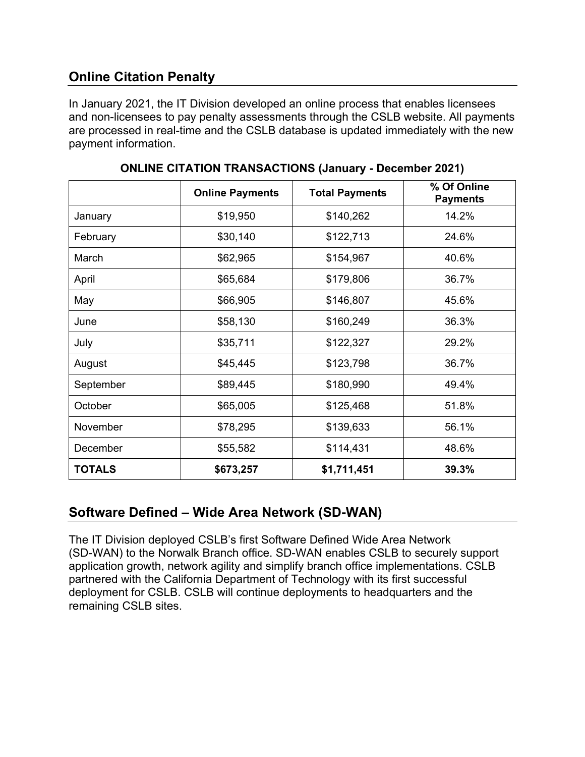# **Online Citation Penalty**

In January 2021, the IT Division developed an online process that enables licensees and non-licensees to pay penalty assessments through the CSLB website. All payments are processed in real-time and the CSLB database is updated immediately with the new payment information.

|               | <b>Online Payments</b> | <b>Total Payments</b> | % Of Online<br><b>Payments</b> |
|---------------|------------------------|-----------------------|--------------------------------|
| January       | \$19,950               | \$140,262             | 14.2%                          |
| February      | \$30,140               | \$122,713             | 24.6%                          |
| March         | \$62,965               | \$154,967             | 40.6%                          |
| April         | \$65,684               | \$179,806             | 36.7%                          |
| May           | \$66,905               | \$146,807             | 45.6%                          |
| June          | \$58,130               | \$160,249             | 36.3%                          |
| July          | \$35,711               | \$122,327             | 29.2%                          |
| August        | \$45,445               | \$123,798             | 36.7%                          |
| September     | \$89,445               | \$180,990             | 49.4%                          |
| October       | \$65,005               | \$125,468             | 51.8%                          |
| November      | \$78,295               | \$139,633             | 56.1%                          |
| December      | \$55,582               | \$114,431             | 48.6%                          |
| <b>TOTALS</b> | \$673,257              | \$1,711,451           | 39.3%                          |

**ONLINE CITATION TRANSACTIONS (January - December 2021)**

# **Software Defined – Wide Area Network (SD-WAN)**

The IT Division deployed CSLB's first Software Defined Wide Area Network (SD-WAN) to the Norwalk Branch office. SD-WAN enables CSLB to securely support application growth, network agility and simplify branch office implementations. CSLB partnered with the California Department of Technology with its first successful deployment for CSLB. CSLB will continue deployments to headquarters and the remaining CSLB sites.